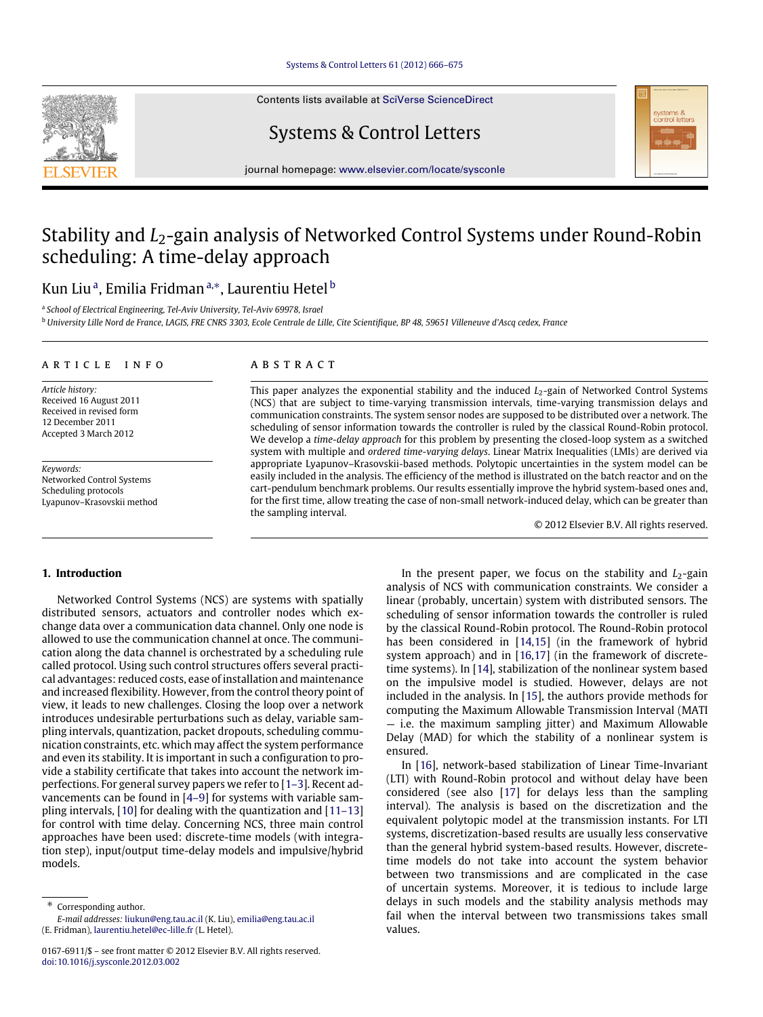### [Systems & Control Letters 61 \(2012\) 666–675](http://dx.doi.org/10.1016/j.sysconle.2012.03.002)

Contents lists available at [SciVerse ScienceDirect](http://www.elsevier.com/locate/sysconle)



## Systems & Control Letters



journal homepage: [www.elsevier.com/locate/sysconle](http://www.elsevier.com/locate/sysconle)

# Stability and *L*2-gain analysis of Networked Control Systems under Round-Robin scheduling: A time-delay approach

## Kun Liuª, Emili[a](#page-0-0) Fridmanª.\*, Laurentiu Hetel <sup>[b](#page-0-2)</sup>

<span id="page-0-0"></span>a *School of Electrical Engineering, Tel-Aviv University, Tel-Aviv 69978, Israel*

<span id="page-0-2"></span><sup>b</sup> *University Lille Nord de France, LAGIS, FRE CNRS 3303, Ecole Centrale de Lille, Cite Scientifique, BP 48, 59651 Villeneuve d'Ascq cedex, France*

#### a r t i c l e i n f o

*Article history:* Received 16 August 2011 Received in revised form 12 December 2011 Accepted 3 March 2012

*Keywords:* Networked Control Systems Scheduling protocols Lyapunov–Krasovskii method

#### A B S T R A C T

This paper analyzes the exponential stability and the induced  $L<sub>2</sub>$ -gain of Networked Control Systems (NCS) that are subject to time-varying transmission intervals, time-varying transmission delays and communication constraints. The system sensor nodes are supposed to be distributed over a network. The scheduling of sensor information towards the controller is ruled by the classical Round-Robin protocol. We develop a *time-delay approach* for this problem by presenting the closed-loop system as a switched system with multiple and *ordered time-varying delays*. Linear Matrix Inequalities (LMIs) are derived via appropriate Lyapunov–Krasovskii-based methods. Polytopic uncertainties in the system model can be easily included in the analysis. The efficiency of the method is illustrated on the batch reactor and on the cart-pendulum benchmark problems. Our results essentially improve the hybrid system-based ones and, for the first time, allow treating the case of non-small network-induced delay, which can be greater than the sampling interval.

© 2012 Elsevier B.V. All rights reserved.

## **1. Introduction**

Networked Control Systems (NCS) are systems with spatially distributed sensors, actuators and controller nodes which exchange data over a communication data channel. Only one node is allowed to use the communication channel at once. The communication along the data channel is orchestrated by a scheduling rule called protocol. Using such control structures offers several practical advantages: reduced costs, ease of installation and maintenance and increased flexibility. However, from the control theory point of view, it leads to new challenges. Closing the loop over a network introduces undesirable perturbations such as delay, variable sampling intervals, quantization, packet dropouts, scheduling communication constraints, etc. which may affect the system performance and even its stability. It is important in such a configuration to provide a stability certificate that takes into account the network imperfections. For general survey papers we refer to [\[1–3\]](#page-9-0). Recent advancements can be found in [\[4–9\]](#page-9-1) for systems with variable sampling intervals, [\[10\]](#page-9-2) for dealing with the quantization and [\[11–13\]](#page-9-3) for control with time delay. Concerning NCS, three main control approaches have been used: discrete-time models (with integration step), input/output time-delay models and impulsive/hybrid models.

<span id="page-0-1"></span>∗ Corresponding author. *E-mail addresses:* [liukun@eng.tau.ac.il](mailto:liukun@eng.tau.ac.il) (K. Liu), [emilia@eng.tau.ac.il](mailto:emilia@eng.tau.ac.il) (E. Fridman), [laurentiu.hetel@ec-lille.fr](mailto:laurentiu.hetel@ec-lille.fr) (L. Hetel).

In the present paper, we focus on the stability and  $L<sub>2</sub>$ -gain analysis of NCS with communication constraints. We consider a linear (probably, uncertain) system with distributed sensors. The scheduling of sensor information towards the controller is ruled by the classical Round-Robin protocol. The Round-Robin protocol has been considered in [\[14](#page-9-4)[,15\]](#page-9-5) (in the framework of hybrid system approach) and in [\[16](#page-9-6)[,17\]](#page-9-7) (in the framework of discretetime systems). In [\[14\]](#page-9-4), stabilization of the nonlinear system based on the impulsive model is studied. However, delays are not included in the analysis. In [\[15\]](#page-9-5), the authors provide methods for computing the Maximum Allowable Transmission Interval (MATI — i.e. the maximum sampling jitter) and Maximum Allowable Delay (MAD) for which the stability of a nonlinear system is ensured.

In [\[16\]](#page-9-6), network-based stabilization of Linear Time-Invariant (LTI) with Round-Robin protocol and without delay have been considered (see also [\[17\]](#page-9-7) for delays less than the sampling interval). The analysis is based on the discretization and the equivalent polytopic model at the transmission instants. For LTI systems, discretization-based results are usually less conservative than the general hybrid system-based results. However, discretetime models do not take into account the system behavior between two transmissions and are complicated in the case of uncertain systems. Moreover, it is tedious to include large delays in such models and the stability analysis methods may fail when the interval between two transmissions takes small values.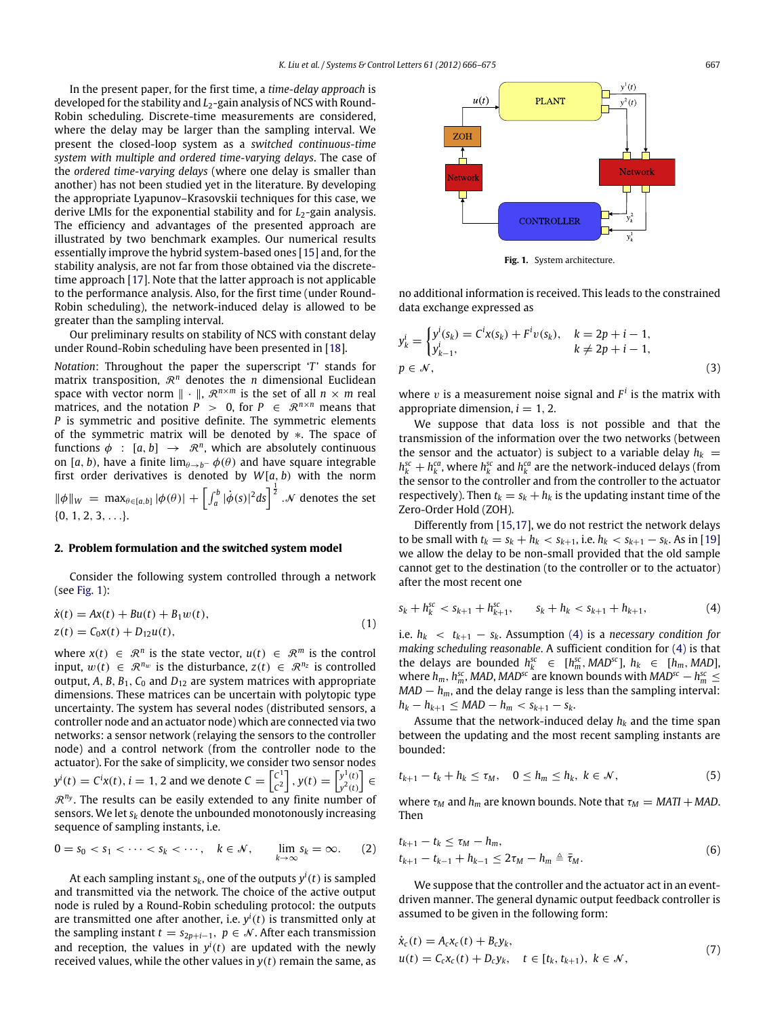In the present paper, for the first time, a *time-delay approach* is developed for the stability and *L*<sub>2</sub>-gain analysis of NCS with Round-Robin scheduling. Discrete-time measurements are considered, where the delay may be larger than the sampling interval. We present the closed-loop system as a *switched continuous-time system with multiple and ordered time-varying delays*. The case of the *ordered time-varying delays* (where one delay is smaller than another) has not been studied yet in the literature. By developing the appropriate Lyapunov–Krasovskii techniques for this case, we derive LMIs for the exponential stability and for *L*<sub>2</sub>-gain analysis. The efficiency and advantages of the presented approach are illustrated by two benchmark examples. Our numerical results essentially improve the hybrid system-based ones [\[15\]](#page-9-5) and, for the stability analysis, are not far from those obtained via the discretetime approach [\[17\]](#page-9-7). Note that the latter approach is not applicable to the performance analysis. Also, for the first time (under Round-Robin scheduling), the network-induced delay is allowed to be greater than the sampling interval.

Our preliminary results on stability of NCS with constant delay under Round-Robin scheduling have been presented in [\[18\]](#page-9-8).

*Notation*: Throughout the paper the superscript '*T*' stands for matrix transposition,  $\mathcal{R}^n$  denotes the *n* dimensional Euclidean space with vector norm  $\| \cdot \|$ ,  $\mathbb{R}^{n \times m}$  is the set of all  $n \times m$  real matrices, and the notation  $P > 0$ , for  $P \in \mathbb{R}^{n \times n}$  means that *P* is symmetric and positive definite. The symmetric elements of the symmetric matrix will be denoted by ∗. The space of functions  $\phi$  :  $[a, b] \rightarrow \mathbb{R}^n$ , which are absolutely continuous on [ $a$ ,  $b$ ), have a finite lim $_{\theta \to b^-}$   $\phi(\theta)$  and have square integrable first order derivatives is denoted by  $W[a, b)$  with the norm  $\|\phi\|_{W}$  = max $_{\theta \in [a,b]} |\phi(\theta)| + \left[ \int_{a}^{b} |\dot{\phi}(s)|^{2} ds \right]^{\frac{1}{2}}$  . N denotes the set  $\{0, 1, 2, 3, \ldots\}$ .

#### **2. Problem formulation and the switched system model**

Consider the following system controlled through a network (see [Fig. 1\)](#page-1-0):

$$
\dot{x}(t) = Ax(t) + Bu(t) + B_1 w(t), \n z(t) = C_0 x(t) + D_{12} u(t),
$$
\n(1)

where  $x(t) \in \mathbb{R}^n$  is the state vector,  $u(t) \in \mathbb{R}^m$  is the control input,  $w(t)$  ∈  $\mathcal{R}^{n_w}$  is the disturbance,  $z(t)$  ∈  $\mathcal{R}^{n_z}$  is controlled output,  $A$ ,  $B$ ,  $B$ <sub>1</sub>,  $C_0$  and  $D_{12}$  are system matrices with appropriate dimensions. These matrices can be uncertain with polytopic type uncertainty. The system has several nodes (distributed sensors, a controller node and an actuator node) which are connected via two networks: a sensor network (relaying the sensors to the controller node) and a control network (from the controller node to the actuator). For the sake of simplicity, we consider two sensor nodes  $y^{i}(t) = C^{i}x(t), i = 1, 2$  and we denote  $C = \begin{bmatrix} C^{1} \\ C^{2} \end{bmatrix}$  $\begin{bmatrix} c^1 \\ c^2 \end{bmatrix}$ ,  $y(t) = \begin{bmatrix} y^1(t) \\ y^2(t) \end{bmatrix}$  $y^{1}(t)$ <sub>y</sub><sup>2</sup>(t)<sup>2</sup>  $\in$  $\mathcal{R}^{n_y}$ . The results can be easily extended to any finite number of sensors. We let *s<sup>k</sup>* denote the unbounded monotonously increasing sequence of sampling instants, i.e.

$$
0 = s_0 < s_1 < \cdots < s_k < \cdots, \quad k \in \mathcal{N}, \qquad \lim_{k \to \infty} s_k = \infty. \tag{2}
$$

At each sampling instant *sk*, one of the outputs *y i* (*t*) is sampled and transmitted via the network. The choice of the active output node is ruled by a Round-Robin scheduling protocol: the outputs are transmitted one after another, i.e.  $y^i(t)$  is transmitted only at the sampling instant  $t = s_{2p+i-1}$ ,  $p \in \mathcal{N}$ . After each transmission and reception, the values in  $y^i(t)$  are updated with the newly received values, while the other values in  $y(t)$  remain the same, as

<span id="page-1-0"></span>

<span id="page-1-2"></span>**Fig. 1.** System architecture.

no additional information is received. This leads to the constrained data exchange expressed as

$$
y_k^i = \begin{cases} y^i(s_k) = C^i x(s_k) + F^i v(s_k), & k = 2p + i - 1, \\ y_{k-1}^i, & k \neq 2p + i - 1, \end{cases}
$$
  
 
$$
p \in \mathcal{N},
$$
 (3)

where  $v$  is a measurement noise signal and  $F<sup>i</sup>$  is the matrix with appropriate dimension,  $i = 1, 2$ .

We suppose that data loss is not possible and that the transmission of the information over the two networks (between the sensor and the actuator) is subject to a variable delay  $h_k =$  $h_k^{sc}$  +  $h_k^{ca}$ , where  $h_k^{sc}$  and  $h_k^{ca}$  are the network-induced delays (from the sensor to the controller and from the controller to the actuator respectively). Then  $t_k = s_k + h_k$  is the updating instant time of the Zero-Order Hold (ZOH).

Differently from [\[15](#page-9-5)[,17\]](#page-9-7), we do not restrict the network delays to be small with  $t_k = s_k + h_k < s_{k+1}$ , i.e.  $h_k < s_{k+1} - s_k$ . As in [\[19\]](#page-9-9) we allow the delay to be non-small provided that the old sample cannot get to the destination (to the controller or to the actuator) after the most recent one

<span id="page-1-6"></span><span id="page-1-1"></span>
$$
s_k + h_k^{sc} < s_{k+1} + h_{k+1}^{sc}, \qquad s_k + h_k < s_{k+1} + h_{k+1}, \tag{4}
$$

i.e.  $h_k < t_{k+1} - s_k$ . Assumption [\(4\)](#page-1-1) is a *necessary condition for making scheduling reasonable*. A sufficient condition for [\(4\)](#page-1-1) is that the delays are bounded  $h_k^{sc} \in [h_m^{sc}, \text{MAD}^{sc}], h_k \in [h_m, \text{MAD}]$ where  $h_m$ ,  $h_m^{sc}$ , *MAD*, *MAD<sup>sc</sup>* are known bounds with *MAD<sup>sc</sup>* –  $h_m^{sc}$ *MAD*  $- h_m$ , and the delay range is less than the sampling interval: *h*<sub>*k*</sub> − *h*<sub>*k*+1</sub> ≤ *MAD* − *h*<sub>*m*</sub> < *s*<sub>*k*+1</sub> − *s*<sub>*k*</sub>.

Assume that the network-induced delay  $h_k$  and the time span between the updating and the most recent sampling instants are bounded:

<span id="page-1-4"></span>
$$
t_{k+1}-t_k+h_k\leq \tau_M,\quad 0\leq h_m\leq h_k,\ k\in\mathcal{N},\tag{5}
$$

where  $\tau_M$  and  $h_m$  are known bounds. Note that  $\tau_M = MATI + MAD$ . Then

<span id="page-1-5"></span>
$$
t_{k+1} - t_k \le \tau_M - h_m,
$$
  
\n
$$
t_{k+1} - t_{k-1} + h_{k-1} \le 2\tau_M - h_m \triangleq \bar{\tau}_M.
$$
\n(6)

We suppose that the controller and the actuator act in an eventdriven manner. The general dynamic output feedback controller is assumed to be given in the following form:

<span id="page-1-3"></span>
$$
\dot{x}_c(t) = A_c x_c(t) + B_c y_k,u(t) = C_c x_c(t) + D_c y_k, \quad t \in [t_k, t_{k+1}), \ k \in \mathcal{N},
$$
\n(7)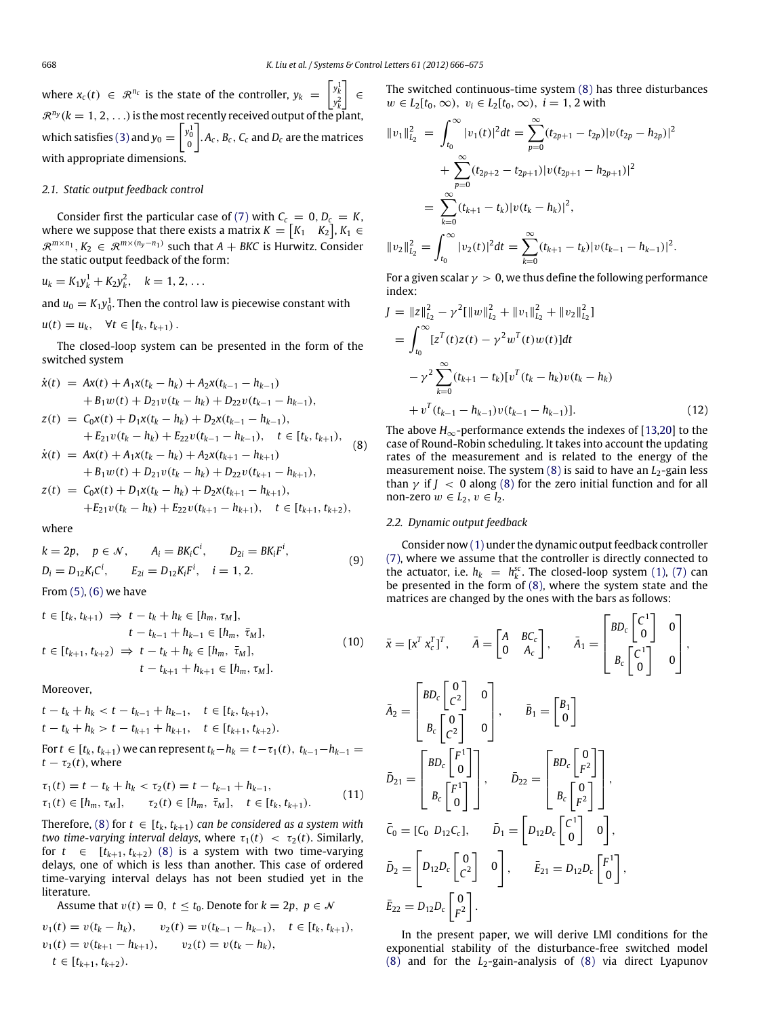where  $x_c(t) \in \mathbb{R}^{n_c}$  is the state of the controller,  $y_k = \begin{bmatrix} y_k^1 \\ y_k^2 \end{bmatrix}$ *y* 2 *k* ∈  $\mathcal{R}^{n_y}$  ( $k = 1, 2, ...$ ) is the most recently received output of the plant, which satisfies [\(3\)](#page-1-2) and  $y_0 = \begin{bmatrix} y_0^1 \ 0 \end{bmatrix}$  $\bigg]$ .  $A_c$  ,  $B_c$  ,  $C_c$  and  $D_c$  are the matrices with appropriate dimensions.

#### *2.1. Static output feedback control*

Consider first the particular case of [\(7\)](#page-1-3) with  $C_c = 0, D_c = K$ , where we suppose that there exists a matrix  $K = \begin{bmatrix} K_1 & K_2 \end{bmatrix}$ ,  $K_1 \in$  $\mathcal{R}^{m \times n_1}, K_2 \in \mathcal{R}^{m \times (n_y - n_1)}$  such that  $A + BKC$  is Hurwitz. Consider the static output feedback of the form:

$$
u_k = K_1 y_k^1 + K_2 y_k^2, \quad k = 1, 2, ...
$$

and  $u_0 = K_1 y_0^1$ . Then the control law is piecewise constant with

$$
u(t) = u_k, \quad \forall t \in [t_k, t_{k+1}).
$$

The closed-loop system can be presented in the form of the switched system

$$
\dot{x}(t) = Ax(t) + A_1x(t_k - h_k) + A_2x(t_{k-1} - h_{k-1})
$$
  
+  $B_1w(t) + D_{21}v(t_k - h_k) + D_{22}v(t_{k-1} - h_{k-1}),$   

$$
z(t) = C_0x(t) + D_1x(t_k - h_k) + D_2x(t_{k-1} - h_{k-1}),
$$
  
+  $E_{21}v(t_k - h_k) + E_{22}v(t_{k-1} - h_{k-1}), \quad t \in [t_k, t_{k+1}),$   

$$
\dot{x}(t) = Ax(t) + A_1x(t_k - h_k) + A_2x(t_{k+1} - h_{k+1})
$$
 (8)

$$
+ B_1 w(t) + D_{21} v(t_k - h_k) + D_{22} v(t_{k+1} - h_{k+1}),
$$
  
\n
$$
z(t) = C_0 x(t) + D_1 x(t_k - h_k) + D_2 x(t_{k+1} - h_{k+1}),
$$
  
\n
$$
+ F_{22} v(t_k - h_k) + F_{22} v(t_{k+1} - h_{k+1}) + t \in [t_{k+1}, t_{k+2})
$$

$$
+E_{21}v(t_k-h_k)+E_{22}v(t_{k+1}-h_{k+1}), \quad t \in [t_{k+1}, t_{k+2}),
$$

where

$$
k = 2p, \quad p \in \mathcal{N}, \qquad A_i = BK_i C^i, \qquad D_{2i} = BK_i F^i,
$$
  
\n
$$
D_i = D_{12} K_i C^i, \qquad E_{2i} = D_{12} K_i F^i, \qquad i = 1, 2.
$$
  
\nFrom (5), (6) we have

$$
t \in [t_k, t_{k+1}) \implies t - t_k + h_k \in [h_m, \tau_M],
$$
  
\n
$$
t - t_{k-1} + h_{k-1} \in [h_m, \bar{\tau}_M],
$$
  
\n
$$
t \in [t_{k+1}, t_{k+2}) \implies t - t_k + h_k \in [h_m, \bar{\tau}_M],
$$
  
\n
$$
t - t_{k+1} + h_{k+1} \in [h_m, \tau_M].
$$
\n(10)

### Moreover,

*t* − *t*<sub>*k*</sub> + *h*<sub>*k*</sub> < *t* − *t*<sub>*k*−1</sub> + *h*<sub>*k*−1</sub>, *t* ∈  $[t_k, t_{k+1})$ , *t* − *t*<sub>*k*</sub> + *h*<sub>*k*</sub> > *t* − *t*<sub>*k*+1</sub></sub> + *h*<sub>*k*+1</sub>, *t* ∈  $[t_{k+1}, t_{k+2})$ .

For *t* ∈  $[t_k, t_{k+1})$  we can represent  $t_k - h_k = t - \tau_1(t)$ ,  $t_{k-1} - h_{k-1} =$  $t - \tau_2(t)$ , where

$$
\tau_1(t) = t - t_k + h_k < \tau_2(t) = t - t_{k-1} + h_{k-1},
$$
\n
$$
\tau_1(t) \in [h_m, \tau_M], \qquad \tau_2(t) \in [h_m, \bar{\tau}_M], \quad t \in [t_k, t_{k+1}).
$$
\n
$$
\tag{11}
$$

Therefore, [\(8\)](#page-2-0) for  $t \in [t_k, t_{k+1})$  *can be considered as a system with two time-varying interval delays, where*  $\tau_1(t) < \tau_2(t)$ . Similarly, for  $t \in [t_{k+1}, t_{k+2})$  [\(8\)](#page-2-0) is a system with two time-varying delays, one of which is less than another. This case of ordered time-varying interval delays has not been studied yet in the literature.

Assume that  $v(t) = 0$ ,  $t \le t_0$ . Denote for  $k = 2p$ ,  $p \in \mathcal{N}$ 

$$
v_1(t) = v(t_k - h_k), \qquad v_2(t) = v(t_{k-1} - h_{k-1}), \quad t \in [t_k, t_{k+1}),
$$
  
\n
$$
v_1(t) = v(t_{k+1} - h_{k+1}), \qquad v_2(t) = v(t_k - h_k),
$$
  
\n
$$
t \in [t_{k+1}, t_{k+2}).
$$

The switched continuous-time system [\(8\)](#page-2-0) has three disturbances  $w ∈ L_2[t_0, ∞), v_i ∈ L_2[t_0, ∞), i = 1, 2$  with

$$
||v_1||_{L_2}^2 = \int_{t_0}^{\infty} |v_1(t)|^2 dt = \sum_{p=0}^{\infty} (t_{2p+1} - t_{2p}) |v(t_{2p} - h_{2p})|^2
$$
  
+ 
$$
\sum_{p=0}^{\infty} (t_{2p+2} - t_{2p+1}) |v(t_{2p+1} - h_{2p+1})|^2
$$
  
= 
$$
\sum_{k=0}^{\infty} (t_{k+1} - t_k) |v(t_k - h_k)|^2,
$$
  

$$
||v_2||_{L_2}^2 = \int_{t_0}^{\infty} |v_2(t)|^2 dt = \sum_{k=0}^{\infty} (t_{k+1} - t_k) |v(t_{k-1} - h_{k-1})|^2.
$$

For a given scalar  $\gamma > 0$ , we thus define the following performance index:

$$
J = ||z||_{L_2}^2 - \gamma^2 [||w||_{L_2}^2 + ||v_1||_{L_2}^2 + ||v_2||_{L_2}^2]
$$
  
\n
$$
= \int_{t_0}^{\infty} [z^T(t)z(t) - \gamma^2 w^T(t)w(t)]dt
$$
  
\n
$$
- \gamma^2 \sum_{k=0}^{\infty} (t_{k+1} - t_k)[v^T(t_k - h_k)v(t_k - h_k)
$$
  
\n
$$
+ v^T(t_{k-1} - h_{k-1})v(t_{k-1} - h_{k-1})].
$$
\n(12)

<span id="page-2-0"></span>The above  $H_{\infty}$ -performance extends the indexes of [\[13](#page-9-10)[,20\]](#page-9-11) to the case of Round-Robin scheduling. It takes into account the updating rates of the measurement and is related to the energy of the measurement noise. The system  $(8)$  is said to have an  $L<sub>2</sub>$ -gain less than  $\gamma$  if  $J < 0$  along [\(8\)](#page-2-0) for the zero initial function and for all non-zero  $w \in L_2$ ,  $v \in l_2$ .

#### *2.2. Dynamic output feedback*

Consider now [\(1\)](#page-1-6) under the dynamic output feedback controller [\(7\),](#page-1-3) where we assume that the controller is directly connected to the actuator, i.e.  $h_k = h_k^{sc}$ . The closed-loop system [\(1\),](#page-1-6) [\(7\)](#page-1-3) can be presented in the form of [\(8\),](#page-2-0) where the system state and the matrices are changed by the ones with the bars as follows:

<span id="page-2-1"></span>,

$$
\bar{x} = [x^T x_c^T]^T, \quad \bar{A} = \begin{bmatrix} A & BC_c \\ 0 & A_c \end{bmatrix}, \quad \bar{A}_1 = \begin{bmatrix} BD_c \begin{bmatrix} C^1 \\ 0 \end{bmatrix} & 0 \\ B_c \begin{bmatrix} C^1 \end{bmatrix} & 0 \end{bmatrix}
$$

$$
\bar{A}_2 = \begin{bmatrix} BD_c \begin{bmatrix} 0 \\ C^2 \end{bmatrix} & 0 \\ B_c \begin{bmatrix} 0 \\ C^2 \end{bmatrix} & 0 \end{bmatrix}, \quad \bar{B}_1 = \begin{bmatrix} B_1 \\ 0 \end{bmatrix}
$$

$$
\bar{D}_{21} = \begin{bmatrix} BD_c \begin{bmatrix} F^1 \\ 0 \end{bmatrix} \\ B_c \begin{bmatrix} F^1 \\ 0 \end{bmatrix} \end{bmatrix}, \quad \bar{D}_{22} = \begin{bmatrix} BD_c \begin{bmatrix} 0 \\ F^2 \end{bmatrix} \\ B_c \begin{bmatrix} 0 \\ F^2 \end{bmatrix} \end{bmatrix},
$$

$$
\bar{C}_0 = [C_0 D_{12}C_c], \quad \bar{D}_1 = \begin{bmatrix} D_{12}D_c \begin{bmatrix} C^1 \\ 0 \end{bmatrix} & 0 \end{bmatrix},
$$

$$
\bar{D}_2 = \begin{bmatrix} D_{12}D_c \begin{bmatrix} 0 \\ C^2 \end{bmatrix} & 0 \end{bmatrix}, \quad \bar{E}_{21} = D_{12}D_c \begin{bmatrix} F^1 \\ 0 \end{bmatrix},
$$

$$
\bar{E}_{22} = D_{12}D_c \begin{bmatrix} 0 \\ P^2 \end{bmatrix}.
$$

<span id="page-2-2"></span>In the present paper, we will derive LMI conditions for the exponential stability of the disturbance-free switched model  $(8)$  and for the  $L_2$ -gain-analysis of  $(8)$  via direct Lyapunov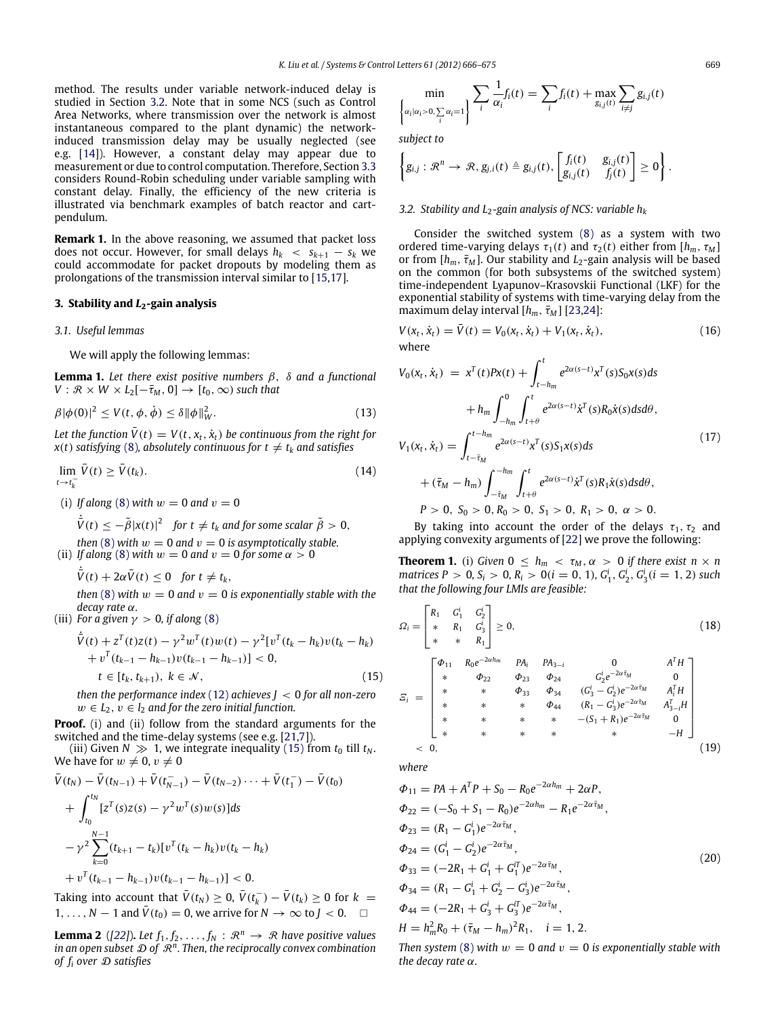method. The results under variable network-induced delay is studied in Section [3.2.](#page-3-0) Note that in some NCS (such as Control Area Networks, where transmission over the network is almost instantaneous compared to the plant dynamic) the networkinduced transmission delay may be usually neglected (see e.g. [\[14\]](#page-9-4)). However, a constant delay may appear due to measurement or due to control computation. Therefore, Section [3.3](#page-5-0) considers Round-Robin scheduling under variable sampling with constant delay. Finally, the efficiency of the new criteria is illustrated via benchmark examples of batch reactor and cartpendulum.

**Remark 1.** In the above reasoning, we assumed that packet loss does not occur. However, for small delays  $h_k < s_{k+1} - s_k$  we could accommodate for packet dropouts by modeling them as prolongations of the transmission interval similar to [\[15,](#page-9-5)[17\]](#page-9-7).

#### **3. Stability and** *L***2-gain analysis**

#### *3.1. Useful lemmas*

<span id="page-3-6"></span>We will apply the following lemmas:

**Lemma 1.** *Let there exist positive numbers* β, δ *and a functional*  $V : \mathcal{R} \times W \times L_2[-\overline{\tau}_M, 0] \rightarrow [t_0, \infty)$  *such that* 

$$
\beta |\phi(0)|^2 \le V(t, \phi, \dot{\phi}) \le \delta \|\phi\|_W^2. \tag{13}
$$

*Let the function*  $\bar{V}(t) = V(t, x_t, \dot{x}_t)$  *be continuous from the right for x*(*t*) *satisfying* [\(8\)](#page-2-0)*, absolutely continuous for*  $t \neq t_k$  *and satisfies* 

$$
\lim_{t \to t_k^-} \bar{V}(t) \ge \bar{V}(t_k). \tag{14}
$$

(i) *If along* [\(8\)](#page-2-0) *with*  $w = 0$  *and*  $v = 0$ 

$$
\dot{\bar{V}}(t) \le -\tilde{\beta}|x(t)|^2 \quad \text{for } t \ne t_k \text{ and for some scalar } \tilde{\beta} > 0,
$$
  
then (8) with  $w = 0$  and  $v = 0$  is asymptotically stable.

(ii) *If along* [\(8\)](#page-2-0) *with*  $w = 0$  *and*  $v = 0$  *for some*  $\alpha > 0$ 

 $\dot{\overline{V}}(t) + 2\alpha \overline{V}(t) \leq 0$  *for*  $t \neq t_k$ , *then* [\(8\)](#page-2-0) with  $w = 0$  *and*  $v = 0$  *is exponentially stable with the decay rate* α*.*

(iii) *For a given*  $\gamma > 0$ *, if along* [\(8\)](#page-2-0)

$$
\dot{\bar{V}}(t) + z^{T}(t)z(t) - \gamma^{2}w^{T}(t)w(t) - \gamma^{2}[v^{T}(t_{k} - h_{k})v(t_{k} - h_{k}) + v^{T}(t_{k-1} - h_{k-1})v(t_{k-1} - h_{k-1})] < 0,
$$
\n
$$
t \in [t_{k}, t_{k+1}), \ k \in \mathcal{N},
$$
\n(15)

*then the performance index* [\(12\)](#page-2-1) *achieves J* < 0 *for all non-zero*  $w \in L_2$ ,  $v \in l_2$  and for the zero initial function.

**Proof.** (i) and (ii) follow from the standard arguments for the switched and the time-delay systems (see e.g. [\[21,](#page-9-12)[7\]](#page-9-13)).

(iii) Given  $N \gg 1$ , we integrate inequality [\(15\)](#page-3-1) from  $t_0$  till  $t_N$ . We have for  $w \neq 0$ ,  $v \neq 0$ 

$$
\bar{V}(t_N) - \bar{V}(t_{N-1}) + \bar{V}(t_{N-1}^-) - \bar{V}(t_{N-2}) \cdots + \bar{V}(t_1^-) - \bar{V}(t_0)
$$
\n
$$
+ \int_{t_0}^{t_N} [z^T(s)z(s) - \gamma^2 w^T(s)w(s)]ds
$$
\n
$$
- \gamma^2 \sum_{k=0}^{N-1} (t_{k+1} - t_k)[v^T(t_k - h_k)v(t_k - h_k)
$$
\n
$$
+ v^T(t_{k-1} - h_{k-1})v(t_{k-1} - h_{k-1})] < 0.
$$

Taking into account that  $\bar{V}(t_N) \geq 0$ ,  $\bar{V}(t_k^-) - \bar{V}(t_k) \geq 0$  for  $k =$ 1, . . . , *N* − 1 and  $\bar{V}(t_0) = 0$ , we arrive for *N* →  $\infty$  to *J* < 0.  $\Box$ 

<span id="page-3-4"></span>**Lemma 2** ([\[22\]](#page-9-14)). Let  $f_1, f_2, ..., f_N : \mathbb{R}^n \to \mathbb{R}$  have positive values *in an open subset* D *of* R*<sup>n</sup> . Then, the reciprocally convex combination of f<sup>i</sup> over* D *satisfies*

$$
\min_{\left\{\alpha_i|\alpha_i>0,\sum\limits_i\alpha_i=1\right\}}\sum_i\frac{1}{\alpha_i}f_i(t)=\sum_i f_i(t)+\max_{g_{i,j}(t)}\sum_{i\neq j}g_{i,j}(t)
$$

*subject to*

$$
\left\{g_{i,j}:\mathcal{R}^n\to\mathcal{R}, g_{j,i}(t)\triangleq g_{i,j}(t), \begin{bmatrix}f_i(t) & g_{i,j}(t)\\g_{i,j}(t) & f_j(t)\end{bmatrix}\geq 0\right\}.
$$

### <span id="page-3-0"></span>*3.2. Stability and L*2*-gain analysis of NCS: variable h<sup>k</sup>*

Consider the switched system [\(8\)](#page-2-0) as a system with two ordered time-varying delays  $\tau_1(t)$  and  $\tau_2(t)$  either from  $[h_m, \tau_M]$ or from  $[h_m, \bar{\tau}_M]$ . Our stability and  $L_2$ -gain analysis will be based on the common (for both subsystems of the switched system) time-independent Lyapunov–Krasovskii Functional (LKF) for the exponential stability of systems with time-varying delay from the maximum delay interval  $[h_m, \bar{\tau}_M]$  [\[23,](#page-9-15)[24\]](#page-9-16):

<span id="page-3-9"></span>
$$
V(x_t, \dot{x}_t) = \bar{V}(t) = V_0(x_t, \dot{x}_t) + V_1(x_t, \dot{x}_t),
$$
\nwhere

\n
$$
V(x_t, \dot{x}_t) = \bar{V}(t) - V_0(x_t, \dot{x}_t) + V_1(x_t, \dot{x}_t),
$$
\n(16)

<span id="page-3-7"></span> $V_0(x_t, \dot{x}_t) = x^T(t)Px(t) + \int_0^t$ *t*−*h<sup>m</sup>*  $e^{2\alpha(s-t)}x^T(s)S_0x(s)ds$  $h_m \int^0$ −*h<sup>m</sup> <sup>t</sup> t*+θ  $e^{2\alpha(s-t)}\dot{\chi}^T(s)R_0\dot{x}(s)dsd\theta$ ,  $V_1(x_t, \dot{x}_t) = \int_0^{t-h_m}$  $t-\bar{\tau}_M$  $e^{2\alpha(s-t)}x^T(s)S_1x(s)ds$  $+$  ( $\bar{\tau}_M - h_m$ )  $\int_{0}^{-h_m}$  $-\bar{\tau}_M$  *<sup>t</sup> t*+θ  $e^{2\alpha(s-t)}\dot{\chi}^T(s)R_1\dot{\chi}(s)dsd\theta$ , (17)

<span id="page-3-2"></span>
$$
P>0, S_0>0, R_0>0, S_1>0, R_1>0, \alpha>0.
$$

By taking into account the order of the delays  $\tau_1$ ,  $\tau_2$  and applying convexity arguments of [\[22\]](#page-9-14) we prove the following:

<span id="page-3-8"></span>**Theorem 1.** (i) *Given*  $0 \le h_m < \tau_M$ ,  $\alpha > 0$  *if there exist*  $n \times n$ *matrices P* > 0,  $S_i$  > 0,  $R_i$  > 0( $i$  = 0, 1),  $G_1^i$ ,  $G_2^i$ ,  $G_3^i$ ( $i$  = 1, 2) *such that the following four LMIs are feasible:*

<span id="page-3-1"></span>
$$
S_{i} = \begin{bmatrix} R_{1} & G_{1}^{i} & G_{2}^{i} \\ * & R_{1} & G_{3}^{i} \\ * & * & R_{1} \end{bmatrix} \geq 0, \qquad (18)
$$
  

$$
S_{i} = \begin{bmatrix} \phi_{11} & R_{0}e^{-2\alpha h_{m}} & P A_{i} & P A_{3-i} & 0 & A^{T}H \\ * & \phi_{22} & \phi_{23} & \phi_{24} & G_{2}^{i}e^{-2\alpha \bar{\tau}_{M}} & 0 \\ * & * & \phi_{33} & \phi_{34} & (G_{3}^{i} - G_{2}^{i})e^{-2\alpha \bar{\tau}_{M}} & A_{i}^{T}H \\ * & * & * & \phi_{44} & (R_{1} - G_{3}^{i})e^{-2\alpha \bar{\tau}_{M}} & A_{3-i}^{T}H \\ * & * & * & * & - (S_{1} + R_{1})e^{-2\alpha \bar{\tau}_{M}} & 0 \\ * & * & * & * & * & -H \end{bmatrix}
$$

<span id="page-3-5"></span><span id="page-3-3"></span> $< 0,$  (19)

*where*

$$
\Phi_{11} = PA + A^T P + S_0 - R_0 e^{-2\alpha h_m} + 2\alpha P,
$$
  
\n
$$
\Phi_{22} = (-S_0 + S_1 - R_0)e^{-2\alpha h_m} - R_1 e^{-2\alpha \bar{\tau}_M},
$$
  
\n
$$
\Phi_{23} = (R_1 - G_1^i)e^{-2\alpha \bar{\tau}_M},
$$
  
\n
$$
\Phi_{24} = (G_1^i - G_2^i)e^{-2\alpha \bar{\tau}_M},
$$
  
\n
$$
\Phi_{33} = (-2R_1 + G_1^i + G_1^T)e^{-2\alpha \bar{\tau}_M},
$$
  
\n
$$
\Phi_{34} = (R_1 - G_1^i + G_2^i - G_3^i)e^{-2\alpha \bar{\tau}_M},
$$
  
\n
$$
\Phi_{44} = (-2R_1 + G_3^i + G_3^T)e^{-2\alpha \bar{\tau}_M},
$$
  
\n
$$
H = h_m^2 R_0 + (\bar{\tau}_M - h_m)^2 R_1, \quad i = 1, 2.
$$

*Then system* [\(8\)](#page-2-0) *with*  $w = 0$  *and*  $v = 0$  *is exponentially stable with the decay rate* α*.*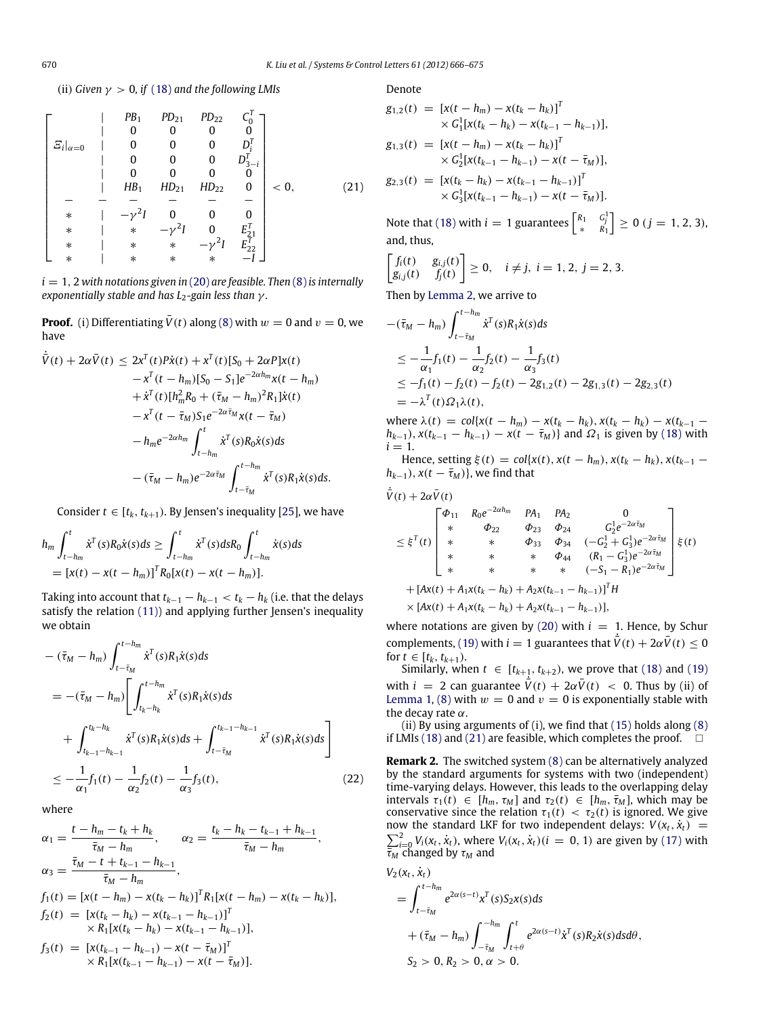(ii) *Given*  $\gamma > 0$ , *if* [\(18\)](#page-3-2) *and the following LMIs* 

$$
\begin{bmatrix}\n & | & PB_1 & PD_{21} & PD_{22} & C_0^T \\
 & | & 0 & 0 & 0 & 0 \\
 & | & 0 & 0 & 0 & D_1^T \\
 & | & 0 & 0 & 0 & D_{3-i}^T \\
 & | & 0 & 0 & 0 & 0 \\
 & | & HB_1 & HD_{21} & HD_{22} & 0 \\
 & | & - & - & - & - & - \\
* & | & -\gamma^2 I & 0 & 0 & 0 \\
* & | & * & -\gamma^2 I & 0 & E_{21}^T \\
* & | & * & * & -\gamma^2 I & E_{22}^T \\
* & | & * & * & * & -I\n\end{bmatrix}\n\tag{21}
$$

*i* = 1, 2 *with notations given in* [\(20\)](#page-3-3) *are feasible. Then* [\(8\)](#page-2-0) *is internally exponentially stable and has L*2*-gain less than* γ *.*

**Proof.** (i) Differentiating  $\bar{V}(t)$  along [\(8\)](#page-2-0) with  $w = 0$  and  $v = 0$ , we have

$$
\bar{V}(t) + 2\alpha \bar{V}(t) \le 2x^{T}(t)P\dot{x}(t) + x^{T}(t)[S_{0} + 2\alpha P]x(t) \n- x^{T}(t - h_{m})[S_{0} - S_{1}]e^{-2\alpha h_{m}}x(t - h_{m}) \n+ \dot{x}^{T}(t)[h_{m}^{2}R_{0} + (\bar{\tau}_{M} - h_{m})^{2}R_{1}]\dot{x}(t) \n- x^{T}(t - \bar{\tau}_{M})S_{1}e^{-2\alpha \bar{\tau}_{M}}x(t - \bar{\tau}_{M}) \n- h_{m}e^{-2\alpha h_{m}}\int_{t - h_{m}}^{t} \dot{x}^{T}(s)R_{0}\dot{x}(s)ds \n- (\bar{\tau}_{M} - h_{m})e^{-2\alpha \bar{\tau}_{M}}\int_{t - \bar{\tau}_{M}}^{t - h_{m}} \dot{x}^{T}(s)R_{1}\dot{x}(s)ds.
$$

Consider  $t \in [t_k, t_{k+1})$ . By Jensen's inequality [\[25\]](#page-9-17), we have

$$
h_m \int_{t-h_m}^t \dot{x}^T(s) R_0 \dot{x}(s) ds \ge \int_{t-h_m}^t \dot{x}^T(s) ds R_0 \int_{t-h_m}^t \dot{x}(s) ds = [\dot{x}(t) - x(t-h_m)]^T R_0 [x(t) - x(t-h_m)].
$$

Taking into account that  $t_{k-1} - h_{k-1} < t_k - h_k$  (i.e. that the delays satisfy the relation [\(11\)\)](#page-2-2) and applying further Jensen's inequality we obtain

$$
-(\bar{\tau}_{M} - h_{m}) \int_{t-\bar{\tau}_{M}}^{t-h_{m}} \dot{x}^{T}(s) R_{1} \dot{x}(s) ds
$$
  
\n
$$
= -(\bar{\tau}_{M} - h_{m}) \left[ \int_{t_{k}-h_{k}}^{t-h_{m}} \dot{x}^{T}(s) R_{1} \dot{x}(s) ds + \int_{t-\bar{\tau}_{M}}^{t_{k-1}-h_{k-1}} \dot{x}^{T}(s) R_{1} \dot{x}(s) ds \right]
$$
  
\n
$$
\leq -\frac{1}{\alpha_{1}} f_{1}(t) - \frac{1}{\alpha_{2}} f_{2}(t) - \frac{1}{\alpha_{3}} f_{3}(t), \qquad (22)
$$

where

$$
\alpha_1 = \frac{t - h_m - t_k + h_k}{\bar{\tau}_M - h_m}, \qquad \alpha_2 = \frac{t_k - h_k - t_{k-1} + h_{k-1}}{\bar{\tau}_M - h_m},
$$
  
\n
$$
\alpha_3 = \frac{\bar{\tau}_M - t + t_{k-1} - h_{k-1}}{\bar{\tau}_M - h_m},
$$
  
\n
$$
f_1(t) = [x(t - h_m) - x(t_k - h_k)]^T R_1 [x(t - h_m) - x(t_k - h_k)],
$$
  
\n
$$
f_2(t) = [x(t_k - h_k) - x(t_{k-1} - h_{k-1})]^T
$$
  
\n
$$
\times R_1 [x(t_k - h_{k-1}) - x(t - \bar{\tau}_M)]^T
$$
  
\n
$$
f_3(t) = [x(t_{k-1} - h_{k-1}) - x(t - \bar{\tau}_M)]^T
$$
  
\n
$$
\times R_1 [x(t_{k-1} - h_{k-1}) - x(t - \bar{\tau}_M)].
$$

Denote

<span id="page-4-0"></span>
$$
g_{1,2}(t) = [x(t - h_m) - x(t_k - h_k)]^T
$$
  
\n
$$
\times G_1^1[x(t_k - h_k) - x(t_{k-1} - h_{k-1})],
$$
  
\n
$$
g_{1,3}(t) = [x(t - h_m) - x(t_k - h_k)]^T
$$
  
\n
$$
\times G_2^1[x(t_{k-1} - h_{k-1}) - x(t - \bar{\tau}_M)],
$$
  
\n
$$
g_{2,3}(t) = [x(t_k - h_k) - x(t_{k-1} - h_{k-1})]^T
$$
  
\n
$$
\times G_3^1[x(t_{k-1} - h_{k-1}) - x(t - \bar{\tau}_M)].
$$

Note that [\(18\)](#page-3-2) with  $i = 1$  guarantees  $\begin{bmatrix} R_1 & G_j^1 \ * & R_1 \end{bmatrix}$  $\Big] \geq 0$  ( $j = 1, 2, 3$ ), and, thus,

$$
\begin{bmatrix} f_i(t) & g_{i,j}(t) \\ g_{i,j}(t) & f_j(t) \end{bmatrix} \ge 0, \quad i \ne j, \ i = 1, 2, j = 2, 3.
$$

Then by [Lemma 2,](#page-3-4) we arrive to

$$
-(\bar{\tau}_M - h_m) \int_{t-\bar{\tau}_M}^{t-h_m} \dot{x}^T(s) R_1 \dot{x}(s) ds
$$
  
\n
$$
\leq -\frac{1}{\alpha_1} f_1(t) - \frac{1}{\alpha_2} f_2(t) - \frac{1}{\alpha_3} f_3(t)
$$
  
\n
$$
\leq -f_1(t) - f_2(t) - f_2(t) - 2g_{1,2}(t) - 2g_{1,3}(t) - 2g_{2,3}(t)
$$
  
\n
$$
= -\lambda^T(t) \Omega_1 \lambda(t),
$$

 $\lambda(t) = \text{col}\{x(t-h_m) - x(t_k-h_k), x(t_k-h_k) - x(t_{k-1} - h_k)\}$ *h*<sub>*k*−1</sub>), *x*(*t*<sub>*k*−1</sub> − *h*<sub>*k*−1</sub>) − *x*(*t* −  $\bar{\tau}_M$ )} and  $\Omega_1$  is given by [\(18\)](#page-3-2) with  $i = 1$ .

Hence, setting  $\xi(t) = \text{col}\{x(t), x(t - h_m), x(t_k - h_k), x(t_{k-1} - h_k)\}$  $h_{k-1}$ , *x*( $t - \overline{\tau}_M$ )}, we find that

$$
\bar{V}(t) + 2\alpha \bar{V}(t)
$$
\n
$$
\leq \xi^{T}(t) \begin{bmatrix}\n\phi_{11} & R_{0}e^{-2\alpha h_{m}} & PA_{1} & PA_{2} & 0 \\
\ast & \phi_{22} & \phi_{23} & \phi_{24} & G_{2}^{1}e^{-2\alpha \bar{\tau}_{M}} \\
\ast & \ast & \phi_{33} & \phi_{34} & (-G_{2}^{1} + G_{3}^{1})e^{-2\alpha \bar{\tau}_{M}} \\
\ast & \ast & \ast & \phi_{44} & (R_{1} - G_{3}^{1})e^{-2\alpha \bar{\tau}_{M}} \\
\ast & \ast & \ast & \ast & (-S_{1} - R_{1})e^{-2\alpha \bar{\tau}_{M}}\n\end{bmatrix} \xi(t)
$$
\n
$$
+ [Ax(t) + A_{1}x(t_{k} - h_{k}) + A_{2}x(t_{k-1} - h_{k-1})]^{T}H
$$
\n
$$
\times [Ax(t) + A_{1}x(t_{k} - h_{k}) + A_{2}x(t_{k-1} - h_{k-1})],
$$

where notations are given by [\(20\)](#page-3-3) with  $i = 1$ . Hence, by Schur complements, [\(19\)](#page-3-5) with  $i = 1$  guarantees that  $\dot{\vec{V}}(t) + 2\alpha \vec{V}(t) \leq 0$ for  $t \in [t_k, t_{k+1})$ .

Similarly, when  $t \in [t_{k+1}, t_{k+2})$ , we prove that [\(18\)](#page-3-2) and [\(19\)](#page-3-5) with  $i = 2$  can guarantee  $\overrightarrow{V}(t) + 2\alpha \overrightarrow{V}(t) < 0$ . Thus by (ii) of [Lemma 1,](#page-3-6) [\(8\)](#page-2-0) with  $w = 0$  and  $v = 0$  is exponentially stable with the decay rate  $\alpha$ .

(ii) By using arguments of (i), we find that  $(15)$  holds along  $(8)$ if LMIs [\(18\)](#page-3-2) and [\(21\)](#page-4-0) are feasible, which completes the proof.  $\square$ 

<span id="page-4-1"></span>**Remark 2.** The switched system [\(8\)](#page-2-0) can be alternatively analyzed by the standard arguments for systems with two (independent) time-varying delays. However, this leads to the overlapping delay intervals  $\tau_1(t) \in [h_m, \tau_M]$  and  $\tau_2(t) \in [h_m, \bar{\tau}_M]$ , which may be conservative since the relation  $\tau_1(t) < \tau_2(t)$  is ignored. We give now the standard LKF for two independent delays:  $V(x_t, \dot{x}_t)$  = now the standard LKF for two independent delays:  $V(x_t, \dot{x}_t) = \sum_{i=0}^{2} V_i(x_t, \dot{x}_t)$ , where  $V_i(x_t, \dot{x}_t)$  (*i* = 0, 1) are given by [\(17\)](#page-3-7) with  $\overline{\overline{\tau}_M}$  changed by  $\tau_M$  and

$$
V_2(x_t, \dot{x}_t)
$$
  
= 
$$
\int_{t-\bar{\tau}_M}^{t-h_m} e^{2\alpha(s-t)} x^T(s) S_2 x(s) ds
$$
  
+ 
$$
(\bar{\tau}_M - h_m) \int_{-\bar{\tau}_M}^{-h_m} \int_{t+\theta}^t e^{2\alpha(s-t)} \dot{x}^T(s) R_2 \dot{x}(s) ds d\theta,
$$
  

$$
S_2 > 0, R_2 > 0, \alpha > 0.
$$

 $\overline{\phantom{a}}$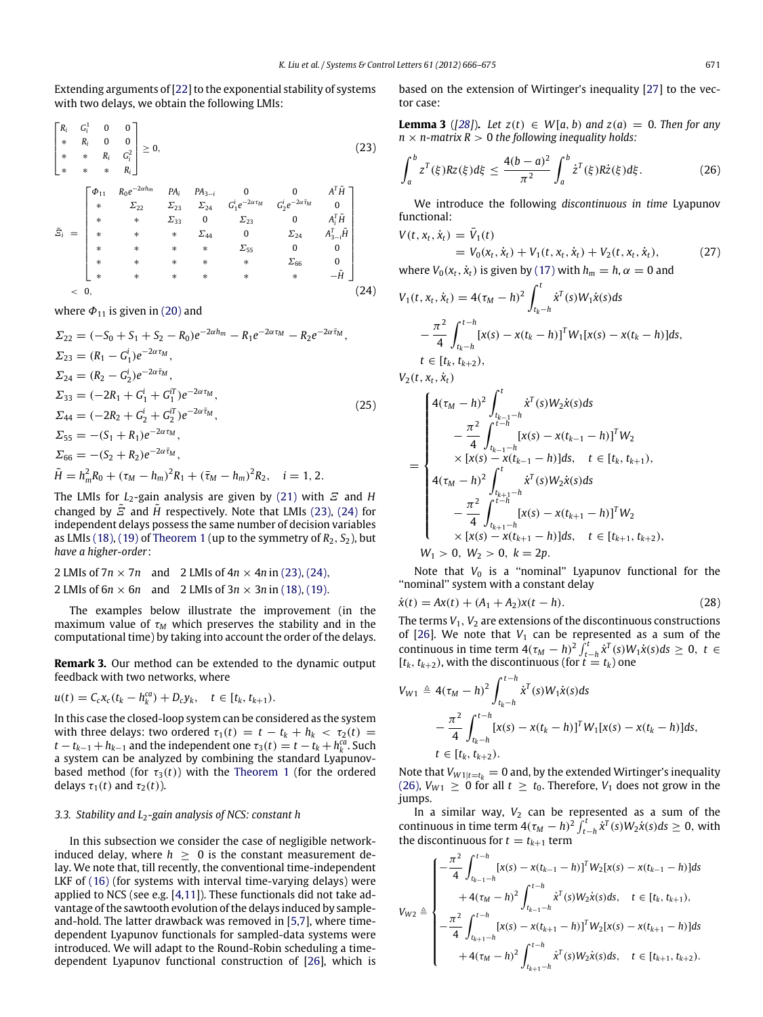Extending arguments of [\[22\]](#page-9-14) to the exponential stability of systems with two delays, we obtain the following LMIs:

$$
\begin{bmatrix} R_i & G_i^1 & 0 & 0 \\ * & R_i & 0 & 0 \\ * & * & R_i & G_i^2 \\ * & * & * & R_i \end{bmatrix} \geq 0,\tag{23}
$$

|  |        |                                                             |                         | $PA_{3-i}$    | $\bf{0}$                   |                                   |                                               |  |
|--|--------|-------------------------------------------------------------|-------------------------|---------------|----------------------------|-----------------------------------|-----------------------------------------------|--|
|  |        | $R_0e^{-2\alpha h_m}$ <i>Pf</i><br>* $\Sigma_{22}$<br>  * * | $PA_i$<br>$\Sigma_{23}$ | $\Sigma_{24}$ | $G_1^i e^{-2\alpha\tau_M}$ | $G_2^i e^{-2\alpha \bar{\tau}_M}$ | $\Omega$                                      |  |
|  |        |                                                             | $\Sigma_{33}$           | 0             | $\Sigma_{23}$              | $\overline{\mathbf{0}}$           |                                               |  |
|  | $\ast$ | $\overline{\mathbf{r}}$                                     | $\ast$                  | $\Sigma_{44}$ | $\overline{\mathbf{0}}$    | $\Sigma_{24}$                     | .Ĥ                                            |  |
|  | $*$    | $\ast$                                                      | $\ast$                  | $\ast$        | $\Sigma_{55}$              |                                   |                                               |  |
|  | $*$    | $\ast$                                                      | $\ast$                  | $*$           | $\ast$                     | $\Sigma_{66}$                     | $\begin{matrix} 0 \\ -\tilde{H} \end{matrix}$ |  |
|  | $\ast$ | $\ast$                                                      | $\ast$                  | $*$           | $\ast$                     | $\ast$                            |                                               |  |
|  |        |                                                             |                         |               |                            |                                   |                                               |  |

where  $\Phi_{11}$  is given in [\(20\)](#page-3-3) and

$$
\Sigma_{22} = (-S_0 + S_1 + S_2 - R_0)e^{-2\alpha h_m} - R_1e^{-2\alpha \tau_M} - R_2e^{-2\alpha \bar{\tau}_M},
$$
  
\n
$$
\Sigma_{23} = (R_1 - G_1)e^{-2\alpha \tau_M},
$$
  
\n
$$
\Sigma_{24} = (R_2 - G_2)e^{-2\alpha \bar{\tau}_M},
$$
  
\n
$$
\Sigma_{33} = (-2R_1 + G_1^i + G_1^{iT})e^{-2\alpha \tau_M},
$$
  
\n
$$
\Sigma_{44} = (-2R_2 + G_2^i + G_2^{iT})e^{-2\alpha \bar{\tau}_M},
$$
  
\n
$$
\Sigma_{55} = -(S_1 + R_1)e^{-2\alpha \tau_M},
$$
  
\n
$$
\widetilde{H} = h_m^2 R_0 + (\tau_M - h_m)^2 R_1 + (\bar{\tau}_M - h_m)^2 R_2, \quad i = 1, 2.
$$

The LMIs for  $L_2$ -gain analysis are given by [\(21\)](#page-4-0) with  $\mathcal E$  and  $H$ changed by  $\tilde{E}$  and  $\tilde{H}$  respectively. Note that LMIs [\(23\),](#page-5-1) [\(24\)](#page-5-2) for independent delays possess the same number of decision variables as LMIs [\(18\),](#page-3-2) [\(19\)](#page-3-5) of [Theorem 1](#page-3-8) (up to the symmetry of *R*2, *S*2), but *have a higher-order*:

2 LMIs of  $7n \times 7n$  and 2 LMIs of  $4n \times 4n$  in [\(23\),](#page-5-1) [\(24\)](#page-5-2), 2 LMIs of  $6n \times 6n$  and 2 LMIs of  $3n \times 3n$  in [\(18\),](#page-3-2) [\(19\)](#page-3-5).

The examples below illustrate the improvement (in the maximum value of  $\tau_M$  which preserves the stability and in the computational time) by taking into account the order of the delays.

**Remark 3.** Our method can be extended to the dynamic output feedback with two networks, where

$$
u(t) = C_c x_c(t_k - h_k^{ca}) + D_c y_k, \quad t \in [t_k, t_{k+1}).
$$

In this case the closed-loop system can be considered as the system with three delays: two ordered  $\tau_1(t) = t - t_k + h_k < \tau_2(t)$ *t* − *t*<sub>*k*−1</sub> + *h*<sub>*k*−1</sub> and the independent one  $\tau_3(t) = t - t_k + h_k^{ca}$ . Such a system can be analyzed by combining the standard Lyapunovbased method (for  $\tau_3(t)$ ) with the [Theorem 1](#page-3-8) (for the ordered delays  $\tau_1(t)$  and  $\tau_2(t)$ ).

## <span id="page-5-0"></span>*3.3. Stability and L*2*-gain analysis of NCS: constant h*

In this subsection we consider the case of negligible networkinduced delay, where  $h \geq 0$  is the constant measurement delay. We note that, till recently, the conventional time-independent LKF of [\(16\)](#page-3-9) (for systems with interval time-varying delays) were applied to NCS (see e.g. [\[4,](#page-9-1)[11\]](#page-9-3)). These functionals did not take advantage of the sawtooth evolution of the delays induced by sampleand-hold. The latter drawback was removed in [\[5,](#page-9-18)[7\]](#page-9-13), where timedependent Lyapunov functionals for sampled-data systems were introduced. We will adapt to the Round-Robin scheduling a timedependent Lyapunov functional construction of [\[26\]](#page-9-19), which is based on the extension of Wirtinger's inequality [\[27\]](#page-9-20) to the vector case:

<span id="page-5-1"></span>**Lemma 3** ( $[28]$ ). Let  $z(t)$  ∈  $W[a, b)$  and  $z(a) = 0$ . Then for any  $n \times n$ -matrix  $R > 0$  the following inequality holds:

<span id="page-5-3"></span>
$$
\int_{a}^{b} z^{T}(\xi) R z(\xi) d\xi \le \frac{4(b-a)^{2}}{\pi^{2}} \int_{a}^{b} \dot{z}^{T}(\xi) R \dot{z}(\xi) d\xi.
$$
 (26)

<span id="page-5-2"></span>We introduce the following *discontinuous in time* Lyapunov functional:

<span id="page-5-4"></span>
$$
V(t, x_t, \dot{x}_t) = \bar{V}_1(t)
$$
  
=  $V_0(x_t, \dot{x}_t) + V_1(t, x_t, \dot{x}_t) + V_2(t, x_t, \dot{x}_t),$  (27)

where  $V_0(x_t, \dot{x}_t)$  is given by [\(17\)](#page-3-7) with  $h_m = h$ ,  $\alpha = 0$  and

$$
V_1(t, x_t, \dot{x}_t) = 4(\tau_M - h)^2 \int_{t_k - h}^t \dot{x}^T(s) W_1 \dot{x}(s) ds
$$
  

$$
- \frac{\pi^2}{4} \int_{t_k - h}^{t - h} [x(s) - x(t_k - h)]^T W_1[x(s) - x(t_k - h)] ds,
$$
  

$$
t \in [t_k, t_{k+2}),
$$

 $V_2(t, x_t, \dot{x}_t)$ 

$$
= \begin{cases} 4(\tau_{M} - h)^{2} \int_{t_{k-1} - h}^{t} \dot{x}^{T}(s)W_{2}\dot{x}(s)ds \\ -\frac{\pi^{2}}{4} \int_{t_{k-1} - h}^{t-h} [x(s) - x(t_{k-1} - h)]^{T}W_{2} \\ \times [x(s) - x(t_{k-1} - h)]ds, \quad t \in [t_{k}, t_{k+1}), \\ 4(\tau_{M} - h)^{2} \int_{t_{k+1} - h}^{t} \dot{x}^{T}(s)W_{2}\dot{x}(s)ds \\ -\frac{\pi^{2}}{4} \int_{t_{k+1} - h}^{t-h} [x(s) - x(t_{k+1} - h)]^{T}W_{2} \\ \times [x(s) - x(t_{k+1} - h)]ds, \quad t \in [t_{k+1}, t_{k+2}), \\ W_{1} > 0, W_{2} > 0, k = 2p. \end{cases}
$$

Note that  $V_0$  is a "nominal" Lyapunov functional for the ''nominal'' system with a constant delay

$$
\dot{x}(t) = Ax(t) + (A_1 + A_2)x(t - h).
$$
\n(28)

The terms  $V_1$ ,  $V_2$  are extensions of the discontinuous constructions of [\[26\]](#page-9-19). We note that  $V_1$  can be represented as a sum of the continuous in time term  $4(\tau_M - h)^2 \int_{t-h}^t \dot{x}^T(s)W_1\dot{x}(s)ds \ge 0, t \in$  $[t_k, t_{k+2})$ , with the discontinuous (for  $t = t_k$ ) one

$$
V_{W1} \triangleq 4(\tau_M - h)^2 \int_{t_k - h}^{t - h} \dot{x}^T(s) W_1 \dot{x}(s) ds
$$
  
 
$$
- \frac{\pi^2}{4} \int_{t_k - h}^{t - h} [x(s) - x(t_k - h)]^T W_1 [x(s) - x(t_k - h)] ds,
$$
  
  $t \in [t_k, t_{k+2}).$ 

Note that  $V_{W1|t=t_k} = 0$  and, by the extended Wirtinger's inequality [\(26\),](#page-5-3)  $V_{W1} \ge 0$  for all  $t \ge t_0$ . Therefore,  $V_1$  does not grow in the jumps.

In a similar way,  $V_2$  can be represented as a sum of the continuous in time term  $4(\tau_M - h)^2 \int_{t-h}^t \dot{x}^T(s)W_2\dot{x}(s)ds \ge 0$ , with the discontinuous for  $t = t_{k+1}$  term

$$
V_{W2} \triangleq \begin{cases}\n-\frac{\pi^2}{4} \int_{t_{k-1}-h}^{t-h} [x(s) - x(t_{k-1} - h)]^T W_2[x(s) - x(t_{k-1} - h)] ds \\
+ 4(\tau_M - h)^2 \int_{t_{k-1}-h}^{t-h} \dot{x}^T(s) W_2 \dot{x}(s) ds, \quad t \in [t_k, t_{k+1}), \\
-\frac{\pi^2}{4} \int_{t_{k+1}-h}^{t-h} [x(s) - x(t_{k+1} - h)]^T W_2[x(s) - x(t_{k+1} - h)] ds \\
+ 4(\tau_M - h)^2 \int_{t_{k+1}-h}^{t-h} \dot{x}^T(s) W_2 \dot{x}(s) ds, \quad t \in [t_{k+1}, t_{k+2}).\n\end{cases}
$$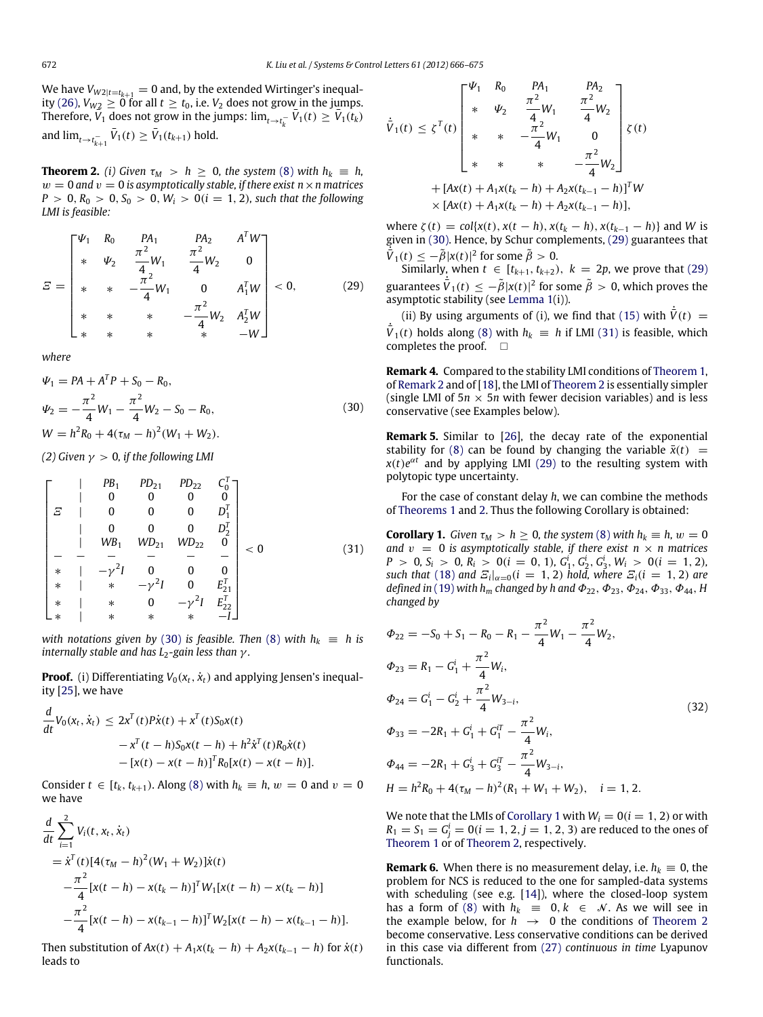We have  $V_{W2|t=t_{k+1}} = 0$  and, by the extended Wirtinger's inequal-ity [\(26\),](#page-5-3)  $V_{W2}\geq 0$  for all  $t\geq t_{0}$ , i.e.  $V_{2}$  does not grow in the jumps. Therefore,  $\overline{V}_1$  does not grow in the jumps:  $\lim_{t \to t_k^-} \overline{V}_1(t) \ge \overline{V}_1(t_k)$ and  $\lim_{t \to t_{k+1}^-} \bar{V}_1(t) \ge \bar{V}_1(t_{k+1})$  hold.

<span id="page-6-3"></span>**Theorem 2.** *(i)* Given  $\tau_M > h \geq 0$ , the system [\(8\)](#page-2-0) with  $h_k \equiv h$ ,  $w = 0$  and  $v = 0$  is asymptotically stable, if there exist  $n \times n$  matrices  $P > 0, R_0 > 0, S_0 > 0, W_i > 0$  (*i* = 1, 2)*,* such that the following *LMI is feasible:*

$$
E = \begin{bmatrix} \Psi_1 & R_0 & PA_1 & PA_2 & A^T W \\ * & \Psi_2 & \frac{\pi^2}{4} W_1 & \frac{\pi^2}{4} W_2 & 0 \\ * & * & -\frac{\pi^2}{4} W_1 & 0 & A_1^T W \\ * & * & * & -\frac{\pi^2}{4} W_2 & A_2^T W \\ * & * & * & * & -W \end{bmatrix} < 0,
$$
 (29)

*where*

$$
\Psi_1 = PA + A^T P + S_0 - R_0,
$$
  
\n
$$
\Psi_2 = -\frac{\pi^2}{4} W_1 - \frac{\pi^2}{4} W_2 - S_0 - R_0,
$$
  
\n
$$
W = h^2 R_0 + 4(\tau_M - h)^2 (W_1 + W_2).
$$
\n(30)

*(2)* Given  $\gamma > 0$ , if the following LMI

$$
\begin{bmatrix}\n & | & PB_1 & PD_{21} & PD_{22} & C_0^T \\
 & | & 0 & 0 & 0 & 0 \\
 & | & 0 & 0 & 0 & D_1^T \\
 & | & 0 & 0 & 0 & D_2^T \\
 & | & WB_1 & WD_{21} & WD_{22} & 0 \\
 & - & - & - & - & - & - \\
* & | & -\gamma^2 I & 0 & 0 & 0 \\
* & | & * & -\gamma^2 I & 0 & E_{21}^T \\
* & | & * & 0 & -\gamma^2 I & E_{22}^T \\
* & | & * & * & * & -I\n\end{bmatrix}
$$
\n
$$
(31)
$$

*with notations given by* [\(30\)](#page-6-0) *is feasible. Then* [\(8\)](#page-2-0) *with*  $h_k \equiv h$  *is internally stable and has L*2*-gain less than* γ *.*

**Proof.** (i) Differentiating  $V_0(x_t, \dot{x}_t)$  and applying Jensen's inequality [\[25\]](#page-9-17), we have

$$
\frac{d}{dt}V_0(x_t, \dot{x}_t) \le 2x^T(t)P\dot{x}(t) + x^T(t)S_0x(t) \n- x^T(t - h)S_0x(t - h) + h^2\dot{x}^T(t)R_0\dot{x}(t) \n-[x(t) - x(t - h)]^TR_0[x(t) - x(t - h)].
$$

Consider  $t \in [t_k, t_{k+1})$ . Along [\(8\)](#page-2-0) with  $h_k \equiv h, w = 0$  and  $v = 0$ we have

$$
\frac{d}{dt} \sum_{i=1}^{2} V_i(t, x_t, \dot{x}_t)
$$
\n
$$
= \dot{x}^{T}(t) [4(\tau_M - h)^{2} (W_1 + W_2)] \dot{x}(t)
$$
\n
$$
- \frac{\pi^{2}}{4} [x(t - h) - x(t_k - h)]^{T} W_1 [x(t - h) - x(t_k - h)]
$$
\n
$$
- \frac{\pi^{2}}{4} [x(t - h) - x(t_{k-1} - h)]^{T} W_2 [x(t - h) - x(t_{k-1} - h)].
$$

Then substitution of  $Ax(t) + A_1x(t_k - h) + A_2x(t_{k-1} - h)$  for  $\dot{x}(t)$ leads to

$$
\dot{\bar{V}}_1(t) \leq \zeta^T(t) \begin{bmatrix} \Psi_1 & R_0 & PA_1 & PA_2 \\ * & \Psi_2 & \frac{\pi^2}{4}W_1 & \frac{\pi^2}{4}W_2 \\ * & * & -\frac{\pi^2}{4}W_1 & 0 \\ * & * & * & -\frac{\pi^2}{4}W_2 \end{bmatrix} \zeta(t)
$$

$$
+ [Ax(t) + A_1x(t_k - h) + A_2x(t_{k-1} - h)]^T W
$$

$$
\times [Ax(t) + A_1x(t_k - h) + A_2x(t_{k-1} - h)],
$$

<span id="page-6-1"></span>where  $\zeta(t) = \frac{col\{x(t), x(t-h), x(t_k-h), x(t_{k-1}-h)\}}{a}$  and *W* is given in [\(30\).](#page-6-0) Hence, by Schur complements, [\(29\)](#page-6-1) guarantees that  $\overline{\dot{V}}_1(t) \leq -\tilde{\beta} |x(t)|^2$  for some  $\tilde{\beta} > 0$ .

Similarly, when  $t \in [t_{k+1}, t_{k+2}), k = 2p$ , we prove that [\(29\)](#page-6-1) guarantees  $\overline{V}_1(t) \leq -\tilde{\beta} |x(t)|^2$  for some  $\tilde{\beta} > 0$ , which proves the asymptotic stability (see [Lemma 1\(](#page-3-6)i)).

(ii) By using arguments of (i), we find that [\(15\)](#page-3-1) with  $\dot{\vec{V}}(t)$  =  $\dot{\overline{V}}_1(t)$  holds along [\(8\)](#page-2-0) with  $h_k \equiv h$  if LMI [\(31\)](#page-6-2) is feasible, which completes the proof.  $\square$ 

<span id="page-6-0"></span>**Remark 4.** Compared to the stability LMI conditions of [Theorem 1,](#page-3-8) of [Remark 2](#page-4-1) and of [\[18\]](#page-9-8), the LMI of [Theorem 2](#page-6-3) is essentially simpler (single LMI of  $5n \times 5n$  with fewer decision variables) and is less conservative (see Examples below).

**Remark 5.** Similar to [\[26\]](#page-9-19), the decay rate of the exponential stability for [\(8\)](#page-2-0) can be found by changing the variable  $\bar{x}(t)$  =  $x(t)e^{\alpha t}$  and by applying LMI [\(29\)](#page-6-1) to the resulting system with polytopic type uncertainty.

<span id="page-6-2"></span>For the case of constant delay *h*, we can combine the methods of [Theorems 1](#page-3-8) and [2.](#page-6-3) Thus the following Corollary is obtained:

<span id="page-6-4"></span>**Corollary 1.** *Given*  $\tau_M > h \geq 0$ *, the system* [\(8\)](#page-2-0) *with*  $h_k \equiv h, w = 0$ *and*  $v = 0$  *is asymptotically stable, if there exist*  $n \times n$  *matrices*  $P > 0$ ,  $S_i > 0$ ,  $R_i > 0$  (*i* = 0, 1),  $G_1^i$ ,  $G_2^i$ ,  $G_3^i$ ,  $W_i > 0$  (*i* = 1, 2), *such that* [\(18\)](#page-3-2) *and*  $E_i|_{\alpha=0}$  (*i* = 1, 2) *hold, where*  $E_i$  (*i* = 1, 2) *are defined in* [\(19\)](#page-3-5) *with h<sub>m</sub> changed by h and*  $\Phi_{22}$ ,  $\Phi_{23}$ ,  $\Phi_{24}$ ,  $\Phi_{33}$ ,  $\Phi_{44}$ , *H changed by*

$$
\begin{aligned}\n\Phi_{22} &= -S_0 + S_1 - R_0 - R_1 - \frac{\pi^2}{4} W_1 - \frac{\pi^2}{4} W_2, \\
\Phi_{23} &= R_1 - G_1^i + \frac{\pi^2}{4} W_i, \\
\Phi_{24} &= G_1^i - G_2^i + \frac{\pi^2}{4} W_{3-i}, \\
\Phi_{33} &= -2R_1 + G_1^i + G_1^{i} - \frac{\pi^2}{4} W_i, \\
\Phi_{44} &= -2R_1 + G_3^i + G_3^{i} - \frac{\pi^2}{4} W_{3-i}, \\
H &= h^2 R_0 + 4(\tau_M - h)^2 (R_1 + W_1 + W_2), \quad i = 1, 2.\n\end{aligned}
$$
\n(32)

We note that the LMIs of [Corollary 1](#page-6-4) with  $W_i = 0$  ( $i = 1, 2$ ) or with  $R_1 = S_1 = G^i_j = 0 (i = 1, 2, j = 1, 2, 3)$  are reduced to the ones of [Theorem 1](#page-3-8) or of [Theorem 2,](#page-6-3) respectively.

<span id="page-6-5"></span>**Remark 6.** When there is no measurement delay, i.e.  $h_k \equiv 0$ , the problem for NCS is reduced to the one for sampled-data systems with scheduling (see e.g. [\[14\]](#page-9-4)), where the closed-loop system has a form of [\(8\)](#page-2-0) with  $h_k = 0, k \in \mathcal{N}$ . As we will see in the example below, for  $h \rightarrow 0$  the conditions of [Theorem 2](#page-6-3) become conservative. Less conservative conditions can be derived in this case via different from [\(27\)](#page-5-4) *continuous in time* Lyapunov functionals.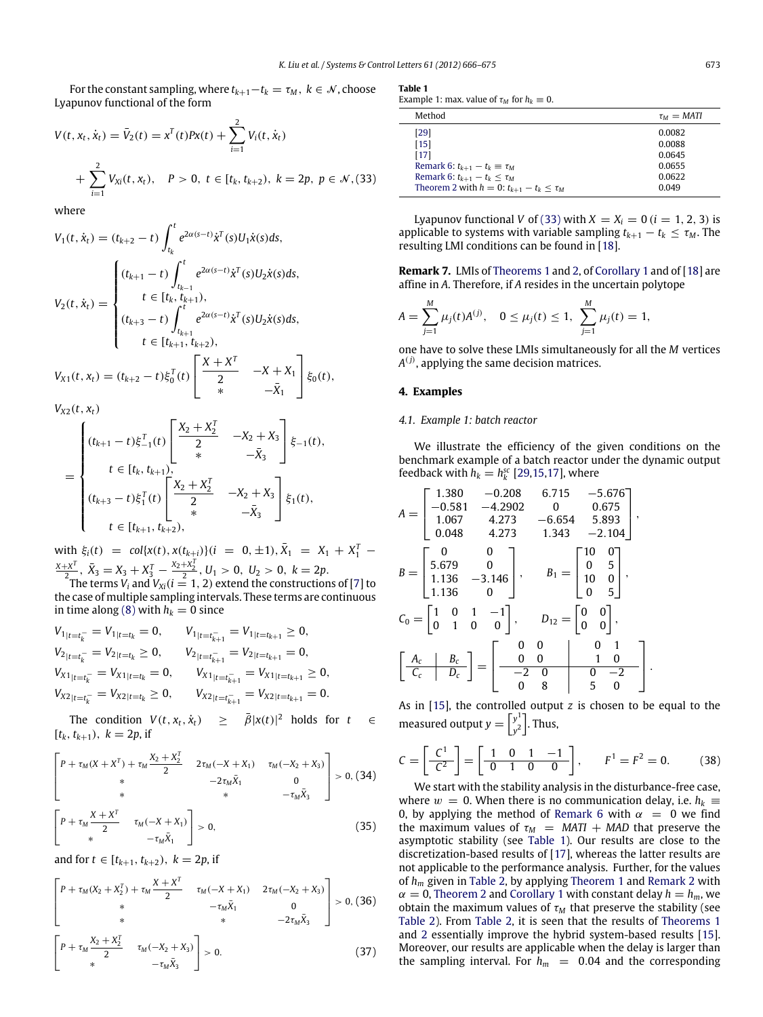For the constant sampling, where  $t_{k+1}-t_k=\tau_M$ ,  $k \in \mathcal{N}$ , choose Lyapunov functional of the form

$$
V(t, x_t, \dot{x}_t) = \bar{V}_2(t) = x^T(t)Px(t) + \sum_{i=1}^2 V_i(t, \dot{x}_t)
$$
  
+ 
$$
\sum_{i=1}^2 V_{Xi}(t, x_t), \quad P > 0, \ t \in [t_k, t_{k+2}), \ k = 2p, \ p \in \mathcal{N}, (33)
$$

where

$$
V_{1}(t, \dot{x}_{t}) = (t_{k+2} - t) \int_{t_{k}}^{t} e^{2\alpha(s-t)} \dot{x}^{T}(s) U_{1} \dot{x}(s) ds,
$$
  
\n
$$
V_{2}(t, \dot{x}_{t}) = \begin{cases} (t_{k+1} - t) \int_{t_{k-1}}^{t} e^{2\alpha(s-t)} \dot{x}^{T}(s) U_{2} \dot{x}(s) ds, \\ t \in [t_{k}, t_{k+1}), \\ (t_{k+3} - t) \int_{t_{k+1}}^{t} e^{2\alpha(s-t)} \dot{x}^{T}(s) U_{2} \dot{x}(s) ds, \\ t \in [t_{k+1}, t_{k+2}), \end{cases}
$$
  
\n
$$
V_{X1}(t, x_{t}) = (t_{k+2} - t) \xi_{0}^{T}(t) \begin{bmatrix} \frac{X + X^{T}}{2} & -X + X_{1} \\ \frac{X - \bar{X}_{1}}{2} & \frac{X - \bar{X}_{1}}{2} \end{bmatrix} \xi_{0}(t),
$$

 $V_{X2}(t, x_t)$ 

$$
= \begin{cases} (t_{k+1}-t)\xi_{-1}^{T}(t) \begin{bmatrix} \frac{X_{2}+X_{2}^{T}}{2} & -X_{2}+X_{3} \\ * & -\bar{X}_{3} \end{bmatrix} \xi_{-1}(t), \\ t \in [t_{k}, t_{k+1}), \\ (t_{k+3}-t)\xi_{1}^{T}(t) \begin{bmatrix} \frac{X_{2}+X_{2}^{T}}{2} & -X_{2}+X_{3} \\ * & -\bar{X}_{3} \end{bmatrix} \xi_{1}(t), \\ t \in [t_{k+1}, t_{k+2}), \end{cases}
$$

with  $\xi_i(t) = col{x(t), x(t_{k+i})}(i = 0, \pm 1), \bar{X}_1 = X_1 + X_1^T$ *X*+*X T*  $\frac{X_1^T}{2}$ ,  $\bar{X}_3 = X_3 + X_3^T - \frac{X_2 + X_2^T}{2}$ ,  $U_1 > 0$ ,  $U_2 > 0$ ,  $k = 2p$ .

The terms  $V_i$  and  $V_{Xi}(i = 1, 2)$  extend the constructions of [\[7\]](#page-9-13) to the case of multiple sampling intervals. These terms are continuous in time along [\(8\)](#page-2-0) with  $h_k = 0$  since

$$
V_{1|t=t_k^-} = V_{1|t=t_k} = 0, \t V_{1|t=t_{k+1}^-} = V_{1|t=t_{k+1}} \ge 0,
$$
  
\n
$$
V_{2|t=t_k^-} = V_{2|t=t_k} \ge 0, \t V_{2|t=t_{k+1}^-} = V_{2|t=t_{k+1}} = 0,
$$
  
\n
$$
V_{X1|t=t_k^-} = V_{X1|t=t_k} = 0, \t V_{X1|t=t_{k+1}^-} = V_{X1|t=t_{k+1}} \ge 0,
$$
  
\n
$$
V_{X2|t=t_k^-} = V_{X2|t=t_k} \ge 0, \t V_{X2|t=t_{k+1}^-} = V_{X2|t=t_{k+1}} = 0.
$$

The condition  $V(t, x_t, \dot{x}_t) \geq \bar{\beta}|x(t)|^2$  holds for  $t \in$  $[t_k, t_{k+1}), k = 2p$ , if

$$
\begin{bmatrix}\nP + \tau_M(X + X^T) + \tau_M \frac{X_2 + X_2^T}{2} & 2\tau_M(-X + X_1) & \tau_M(-X_2 + X_3) \\
* & -2\tau_M \bar{X}_1 & 0 \\
* & * & -\tau_M \bar{X}_3\n\end{bmatrix} > 0, (34)
$$
\n
$$
\begin{bmatrix}\nP + \tau_M \frac{X + X^T}{2} & \tau_M(-X + X_1) \\
* & -\tau_M \bar{X}_1\n\end{bmatrix} > 0,
$$
\n(35)

and for  $t \in [t_{k+1}, t_{k+2}), k = 2p$ , if

$$
\begin{bmatrix}\nP + \tau_M(X_2 + X_2^T) + \tau_M \frac{X + X^T}{2} & \tau_M(-X + X_1) & 2\tau_M(-X_2 + X_3) \\
* & -\tau_M \bar{X}_1 & 0 \\
* & * & -2\tau_M \bar{X}_3\n\end{bmatrix} > 0, (36)
$$
\n
$$
\begin{bmatrix}\nP + \tau_M \frac{X_2 + X_2^T}{2} & \tau_M(-X_2 + X_3) \\
* & -\tau_M \bar{X}_3\n\end{bmatrix} > 0.
$$
\n(37)

#### <span id="page-7-1"></span>**Table 1**

Example 1: max. value of  $\tau_M$  for  $h_k \equiv 0$ .

<span id="page-7-0"></span>

| Method                                            | $\tau_M = MATI$ |
|---------------------------------------------------|-----------------|
| [29]                                              | 0.0082          |
| [15]                                              | 0.0088          |
| [17]                                              | 0.0645          |
| Remark 6: $t_{k+1} - t_k \equiv \tau_M$           | 0.0655          |
| Remark 6: $t_{k+1} - t_k < \tau_M$                | 0.0622          |
| Theorem 2 with $h = 0$ : $t_{k+1} - t_k < \tau_M$ | 0.049           |

Lyapunov functional *V* of [\(33\)](#page-7-0) with  $X = X_i = 0$  ( $i = 1, 2, 3$ ) is applicable to systems with variable sampling  $t_{k+1} - t_k \leq \tau_M$ . The resulting LMI conditions can be found in [\[18\]](#page-9-8).

**Remark 7.** LMIs of [Theorems 1](#page-3-8) and [2,](#page-6-3) of [Corollary 1](#page-6-4) and of [\[18\]](#page-9-8) are affine in *A*. Therefore, if *A* resides in the uncertain polytope

$$
A = \sum_{j=1}^{M} \mu_j(t) A^{(j)}, \quad 0 \le \mu_j(t) \le 1, \ \sum_{j=1}^{M} \mu_j(t) = 1,
$$

one have to solve these LMIs simultaneously for all the *M* vertices *A* (*j*) , applying the same decision matrices.

#### **4. Examples**

#### *4.1. Example 1: batch reactor*

We illustrate the efficiency of the given conditions on the benchmark example of a batch reactor under the dynamic output feedback with  $h_k = h_k^{sc}$  [\[29,](#page-9-22)[15](#page-9-5)[,17\]](#page-9-7), where

$$
A = \begin{bmatrix} 1.380 & -0.208 & 6.715 & -5.676 \\ -0.581 & -4.2902 & 0 & 0.675 \\ 1.067 & 4.273 & -6.654 & 5.893 \\ 0.048 & 4.273 & 1.343 & -2.104 \end{bmatrix},
$$
  
\n
$$
B = \begin{bmatrix} 0 & 0 \\ 5.679 & 0 \\ 1.136 & -3.146 \\ 1.136 & 0 \end{bmatrix}, \qquad B_1 = \begin{bmatrix} 10 & 0 \\ 0 & 5 \\ 10 & 0 \\ 0 & 5 \end{bmatrix},
$$
  
\n
$$
C_0 = \begin{bmatrix} 1 & 0 & 1 & -1 \\ 0 & 1 & 0 & 0 \\ 0 & 1 & 0 & 0 \end{bmatrix}, \qquad D_{12} = \begin{bmatrix} 0 & 0 \\ 0 & 0 \\ 0 & 0 \end{bmatrix},
$$
  
\n
$$
\begin{bmatrix} A_c & B_c \\ C_c & D_c \end{bmatrix} = \begin{bmatrix} 0 & 0 & 0 & 1 \\ -2 & 0 & 0 & -2 \\ 0 & 8 & 5 & 0 \end{bmatrix}.
$$

As in [\[15\]](#page-9-5), the controlled output *z* is chosen to be equal to the measured output  $y = \begin{bmatrix} y^1 \\ y^2 \end{bmatrix}$  $\begin{bmatrix} y^1 \\ y^2 \end{bmatrix}$ . Thus,

<span id="page-7-2"></span>
$$
C = \left[\frac{C^1}{C^2}\right] = \left[\frac{1}{0} \frac{0}{1} \frac{1}{0} - \frac{1}{0}\right], \qquad F^1 = F^2 = 0. \tag{38}
$$

We start with the stability analysis in the disturbance-free case, where  $w = 0$ . When there is no communication delay, i.e.  $h_k \equiv$ 0, by applying the method of [Remark 6](#page-6-5) with  $\alpha = 0$  we find the maximum values of  $\tau_M$  = MATI + MAD that preserve the asymptotic stability (see [Table 1\)](#page-7-1). Our results are close to the discretization-based results of [\[17\]](#page-9-7), whereas the latter results are not applicable to the performance analysis. Further, for the values of *h<sup>m</sup>* given in [Table 2,](#page-8-0) by applying [Theorem 1](#page-3-8) and [Remark 2](#page-4-1) with  $\alpha = 0$ , [Theorem 2](#page-6-3) and [Corollary 1](#page-6-4) with constant delay  $h = h_m$ , we obtain the maximum values of  $\tau_M$  that preserve the stability (see [Table 2\)](#page-8-0). From [Table 2,](#page-8-0) it is seen that the results of [Theorems 1](#page-3-8) and [2](#page-6-3) essentially improve the hybrid system-based results [\[15\]](#page-9-5). Moreover, our results are applicable when the delay is larger than the sampling interval. For  $h_m$  = 0.04 and the corresponding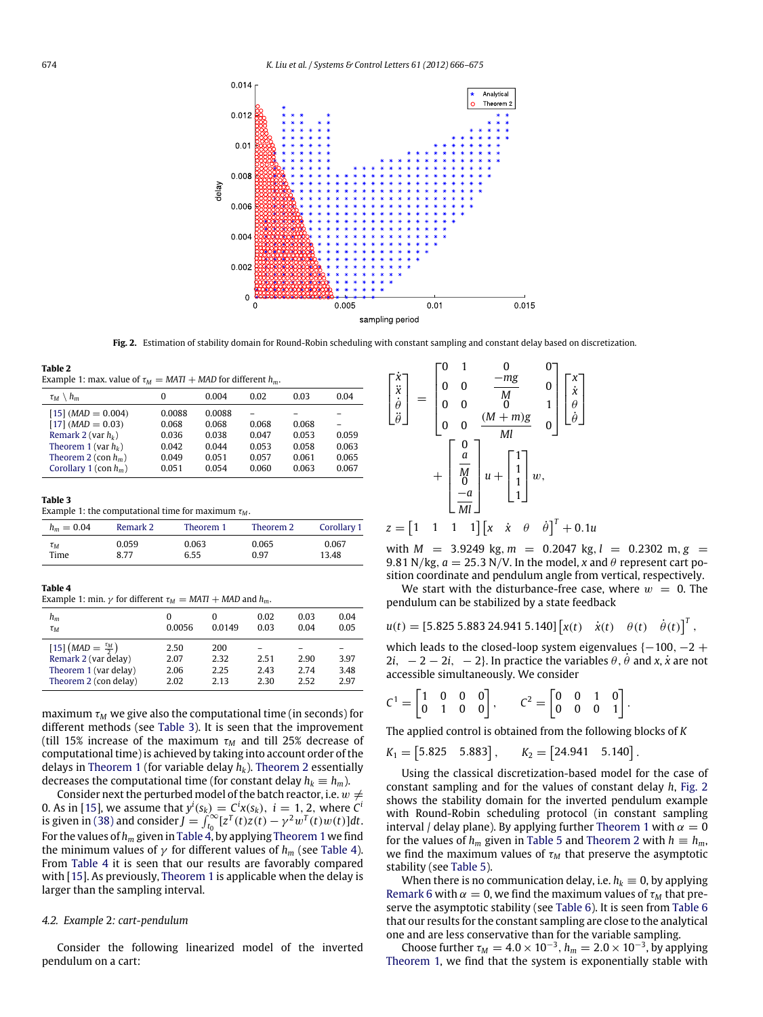<span id="page-8-3"></span>

**Fig. 2.** Estimation of stability domain for Round-Robin scheduling with constant sampling and constant delay based on discretization.

<span id="page-8-0"></span>

| Table 2<br>Example 1: max. value of $\tau_M = MATI + MAD$ for different $h_m$ . |        |       |       |       |  |  |  |
|---------------------------------------------------------------------------------|--------|-------|-------|-------|--|--|--|
| $\Omega$                                                                        | 0.004  | 0.02  | 0.03  | 0.04  |  |  |  |
| 0.0088                                                                          | 0.0088 |       |       |       |  |  |  |
| 0.068                                                                           | 0.068  | 0.068 | 0.068 |       |  |  |  |
| 0.036                                                                           | 0.038  | 0.047 | 0.053 | 0.059 |  |  |  |
| 0.042                                                                           | 0.044  | 0.053 | 0.058 | 0.063 |  |  |  |
|                                                                                 |        |       |       |       |  |  |  |

#### <span id="page-8-1"></span>**Table 3**

[Corollary 1](#page-6-4) (con  $h_m$ )

Example 1: the computational time for maximum  $\tau_M$ .

| $h_m = 0.04$ | Remark 2 | Theorem 1 | Theorem 2 | Corollary 1 |
|--------------|----------|-----------|-----------|-------------|
| $\tau_M$     | 0.059    | 0.063     | 0.065     | 0.067       |
| Time         | 8.77     | 6.55      | 0.97      | 13.48       |

[Theorem 2](#page-6-3) (con *h<sub>m</sub>*) 0.049 0.051 0.057 0.061 0.065<br>Corollary 1 (con *h<sub>m</sub>*) 0.051 0.054 0.060 0.063 0.067

#### <span id="page-8-2"></span>**Table 4**

Example 1: min.  $\gamma$  for different  $\tau_M = MATI + MAD$  and  $h_m$ .

| $h_m$<br>$\tau_M$                                                                                         | 0<br>0.0056                  | 0.0149                      | 0.02<br>0.03         | 0.03<br>0.04         | 0.04<br>0.05         |
|-----------------------------------------------------------------------------------------------------------|------------------------------|-----------------------------|----------------------|----------------------|----------------------|
| [15] $(MAD = \frac{\tau_M}{2})$<br>Remark 2 (var delay)<br>Theorem 1 (var delay)<br>Theorem 2 (con delay) | 2.50<br>2.07<br>2.06<br>2.02 | 200<br>2.32<br>2.25<br>2.13 | 2.51<br>2.43<br>2.30 | 2.90<br>2.74<br>2.52 | 3.97<br>3.48<br>2.97 |

maximum  $\tau_M$  we give also the computational time (in seconds) for different methods (see [Table 3\)](#page-8-1). It is seen that the improvement (till 15% increase of the maximum  $\tau_M$  and till 25% decrease of computational time) is achieved by taking into account order of the delays in [Theorem 1](#page-3-8) (for variable delay *hk*). [Theorem 2](#page-6-3) essentially decreases the computational time (for constant delay  $h_k \equiv h_m$ ).

Consider next the perturbed model of the batch reactor, i.e.  $w \neq$ 0. As in [\[15\]](#page-9-5), we assume that  $y^{i}(s_{k}) = C^{i}x(s_{k}), i = 1, 2$ , where  $C^{i}$ is given in [\(38\)](#page-7-2) and consider  $J = \int_{t_0}^{\infty} [z^T(t)z(t) - \gamma^2 w^T(t)w(t)]dt$ . For the values of  $h_m$  given in [Table 4,](#page-8-2) by applying [Theorem 1](#page-3-8) we find the minimum values of  $\gamma$  for different values of  $h_m$  (see [Table 4\)](#page-8-2). From [Table 4](#page-8-2) it is seen that our results are favorably compared with [\[15\]](#page-9-5). As previously, [Theorem 1](#page-3-8) is applicable when the delay is larger than the sampling interval.

#### *4.2. Example* 2*: cart-pendulum*

Consider the following linearized model of the inverted pendulum on a cart:

$$
\begin{bmatrix} \dot{x} \\ \ddot{x} \\ \dot{\theta} \\ \ddot{\theta} \end{bmatrix} = \begin{bmatrix} 0 & 1 & 0 & 0 \\ 0 & 0 & \frac{-mg}{M} & 0 \\ 0 & 0 & 0 & 1 \\ 0 & 0 & \frac{(M+m)g}{Ml} & 0 \end{bmatrix} \begin{bmatrix} x \\ \dot{x} \\ \theta \\ \dot{\theta} \end{bmatrix}
$$

$$
+ \begin{bmatrix} 0 \\ \frac{a}{M} \\ \frac{-a}{Ml} \end{bmatrix} u + \begin{bmatrix} 1 \\ 1 \\ 1 \\ 1 \end{bmatrix} w,
$$

$$
z = \begin{bmatrix} 1 & 1 & 1 & 1 \end{bmatrix} \begin{bmatrix} x \\ \dot{x} \\ \dot{\theta} \end{bmatrix} + 0.1u
$$

with  $M = 3.9249$  kg,  $m = 0.2047$  kg,  $l = 0.2302$  m,  $g =$ 9.81 N/kg,  $a = 25.3$  N/V. In the model, x and  $\theta$  represent cart po-

sition coordinate and pendulum angle from vertical, respectively. We start with the disturbance-free case, where  $w = 0$ . The pendulum can be stabilized by a state feedback

$$
u(t) = [5.825 \, 5.883 \, 24.941 \, 5.140] \left[ x(t) \quad \dot{x}(t) \quad \theta(t) \quad \dot{\theta}(t) \right]^T,
$$

which leads to the closed-loop system eigenvalues  $\{-100, -2 +$ 2*i*,  $-2 - 2i$ ,  $-2$ }. In practice the variables  $\theta$ ,  $\dot{\theta}$  and *x*,  $\dot{x}$  are not accessible simultaneously. We consider

$$
C^{1} = \begin{bmatrix} 1 & 0 & 0 & 0 \\ 0 & 1 & 0 & 0 \end{bmatrix}, \qquad C^{2} = \begin{bmatrix} 0 & 0 & 1 & 0 \\ 0 & 0 & 0 & 1 \end{bmatrix}.
$$

The applied control is obtained from the following blocks of *K*

 $K_1 = \begin{bmatrix} 5.825 & 5.883 \end{bmatrix}$  $K_2 = [24.941 \quad 5.140].$ 

Using the classical discretization-based model for the case of constant sampling and for the values of constant delay *h*, [Fig. 2](#page-8-3) shows the stability domain for the inverted pendulum example with Round-Robin scheduling protocol (in constant sampling interval / delay plane). By applying further [Theorem 1](#page-3-8) with  $\alpha = 0$ for the values of  $h_m$  given in [Table 5](#page-9-23) and [Theorem 2](#page-6-3) with  $h \equiv h_m$ , we find the maximum values of  $\tau_M$  that preserve the asymptotic stability (see [Table 5\)](#page-9-23).

When there is no communication delay, i.e.  $h_k \equiv 0$ , by applying [Remark 6](#page-6-5) with  $\alpha = 0$ , we find the maximum values of  $\tau_M$  that preserve the asymptotic stability (see [Table 6\)](#page-9-24). It is seen from [Table 6](#page-9-24) that our results for the constant sampling are close to the analytical one and are less conservative than for the variable sampling.

Choose further  $\tau_M = 4.0 \times 10^{-3}$ ,  $h_m = 2.0 \times 10^{-3}$ , by applying [Theorem 1,](#page-3-8) we find that the system is exponentially stable with